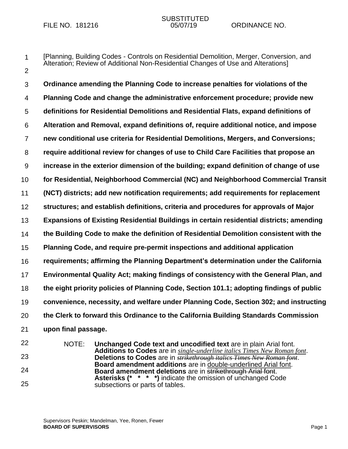1

# SUBSTITUTED<br>05/07/19

[Planning, Building Codes - Controls on Residential Demolition, Merger, Conversion, and

- 2 3 4 5 6 7 8 9 10 11 12 13 14 15 16 17 18 19 20 21 22 23 Alteration; Review of Additional Non-Residential Changes of Use and Alterations] **Ordinance amending the Planning Code to increase penalties for violations of the Planning Code and change the administrative enforcement procedure; provide new definitions for Residential Demolitions and Residential Flats, expand definitions of Alteration and Removal, expand definitions of, require additional notice, and impose new conditional use criteria for Residential Demolitions, Mergers, and Conversions; require additional review for changes of use to Child Care Facilities that propose an increase in the exterior dimension of the building; expand definition of change of use for Residential, Neighborhood Commercial (NC) and Neighborhood Commercial Transit (NCT) districts; add new notification requirements; add requirements for replacement structures; and establish definitions, criteria and procedures for approvals of Major Expansions of Existing Residential Buildings in certain residential districts; amending the Building Code to make the definition of Residential Demolition consistent with the Planning Code, and require pre-permit inspections and additional application requirements; affirming the Planning Department's determination under the California Environmental Quality Act; making findings of consistency with the General Plan, and the eight priority policies of Planning Code, Section 101.1; adopting findings of public convenience, necessity, and welfare under Planning Code, Section 302; and instructing the Clerk to forward this Ordinance to the California Building Standards Commission upon final passage.** NOTE: **Unchanged Code text and uncodified text** are in plain Arial font. **Additions to Codes** are in *single-underline italics Times New Roman font*. **Deletions to Codes** are in *strikethrough italics Times New Roman font*.
- 24
- 25

**Board amendment additions** are in double-underlined Arial font. **Board amendment deletions** are in **strikethrough Arial font. Asterisks (\* \* \* \*)** indicate the omission of unchanged Code subsections or parts of tables.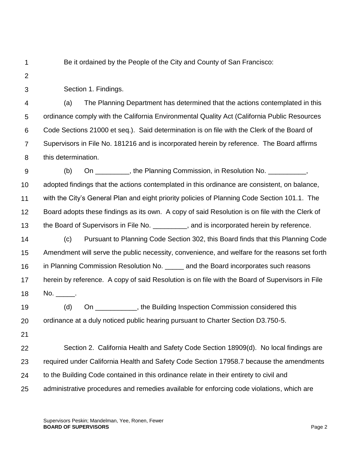1

Be it ordained by the People of the City and County of San Francisco:

 $\mathcal{P}$ 

3

Section 1. Findings.

4 5 6 7 8 (a) The Planning Department has determined that the actions contemplated in this ordinance comply with the California Environmental Quality Act (California Public Resources Code Sections 21000 et seq.). Said determination is on file with the Clerk of the Board of Supervisors in File No. 181216 and is incorporated herein by reference. The Board affirms this determination.

9 10 11 12 13 14 15 16 17 (b) On \_\_\_\_\_\_\_\_\_, the Planning Commission, in Resolution No. \_\_\_\_\_\_\_\_\_\_, adopted findings that the actions contemplated in this ordinance are consistent, on balance, with the City's General Plan and eight priority policies of Planning Code Section 101.1. The Board adopts these findings as its own. A copy of said Resolution is on file with the Clerk of the Board of Supervisors in File No.  $\qquad \qquad$ , and is incorporated herein by reference. (c) Pursuant to Planning Code Section 302, this Board finds that this Planning Code Amendment will serve the public necessity, convenience, and welfare for the reasons set forth in Planning Commission Resolution No. \_\_\_\_\_ and the Board incorporates such reasons herein by reference. A copy of said Resolution is on file with the Board of Supervisors in File

18 No. \_\_\_\_\_.

19 20 (d) On \_\_\_\_\_\_\_\_\_\_\_, the Building Inspection Commission considered this ordinance at a duly noticed public hearing pursuant to Charter Section D3.750-5.

21

22 23 24 25 Section 2. California Health and Safety Code Section 18909(d). No local findings are required under California Health and Safety Code Section 17958.7 because the amendments to the Building Code contained in this ordinance relate in their entirety to civil and administrative procedures and remedies available for enforcing code violations, which are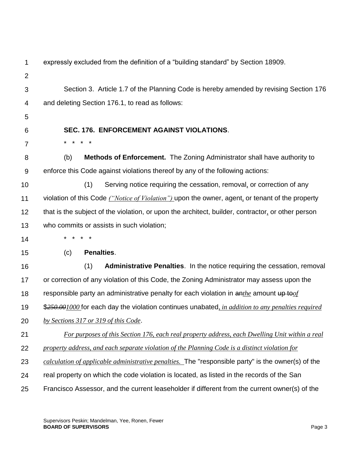| 1              | expressly excluded from the definition of a "building standard" by Section 18909.                         |
|----------------|-----------------------------------------------------------------------------------------------------------|
| $\overline{2}$ |                                                                                                           |
| 3              | Section 3. Article 1.7 of the Planning Code is hereby amended by revising Section 176                     |
| 4              | and deleting Section 176.1, to read as follows:                                                           |
| 5              |                                                                                                           |
| 6              | <b>SEC. 176. ENFORCEMENT AGAINST VIOLATIONS.</b>                                                          |
| $\overline{7}$ | *<br>$\star$<br>*<br>$^\star$                                                                             |
| 8              | (b)<br><b>Methods of Enforcement.</b> The Zoning Administrator shall have authority to                    |
| 9              | enforce this Code against violations thereof by any of the following actions:                             |
| 10             | (1)<br>Serving notice requiring the cessation, removal, or correction of any                              |
| 11             | violation of this Code ("Notice of Violation") upon the owner, agent, or tenant of the property           |
| 12             | that is the subject of the violation, or upon the architect, builder, contractor, or other person         |
| 13             | who commits or assists in such violation;                                                                 |
| 14             |                                                                                                           |
| 15             | Penalties.<br>(c)                                                                                         |
| 16             | (1)<br><b>Administrative Penalties.</b> In the notice requiring the cessation, removal                    |
| 17             | or correction of any violation of this Code, the Zoning Administrator may assess upon the                 |
| 18             | responsible party an administrative penalty for each violation in $\frac{a_n}{b_n}$ amount up to of       |
| 19             | \$250.001000 for each day the violation continues unabated, in addition to any penalties required         |
| 20             | by Sections 317 or 319 of this Code.                                                                      |
| 21             | For purposes of this Section 176, each real property address, each Dwelling Unit within a real            |
| 22             | property address, and each separate violation of the Planning Code is a distinct violation for            |
| 23             | <i>calculation of applicable administrative penalties.</i> The "responsible party" is the owner(s) of the |
| 24             | real property on which the code violation is located, as listed in the records of the San                 |
| 25             | Francisco Assessor, and the current leaseholder if different from the current owner(s) of the             |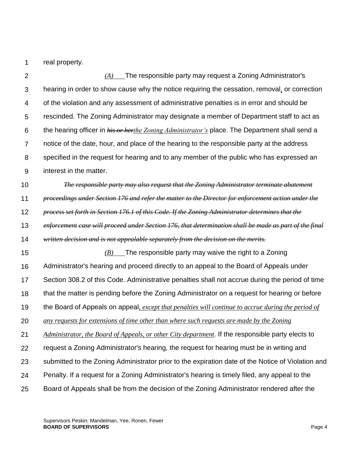1 real property.

 $\mathcal{P}$ 3 4 5 6 7 8 9 10 11 12 13 14 15 16 17 18 19 20 21 22 23 24 25 *(A)* The responsible party may request a Zoning Administrator's hearing in order to show cause why the notice requiring the cessation, removal*,* or correction of the violation and any assessment of administrative penalties is in error and should be rescinded. The Zoning Administrator may designate a member of Department staff to act as the hearing officer in *his or herthe Zoning Administrator's* place. The Department shall send a notice of the date, hour, and place of the hearing to the responsible party at the address specified in the request for hearing and to any member of the public who has expressed an interest in the matter. *The responsible party may also request that the Zoning Administrator terminate abatement proceedings under Section 176 and refer the matter to the Director for enforcement action under the process set forth in Section 176.1 of this Code. If the Zoning Administrator determines that the enforcement case will proceed under Section 176, that determination shall be made as part of the final written decision and is not appealable separately from the decision on the merits. (B)* The responsible party may waive the right to a Zoning Administrator's hearing and proceed directly to an appeal to the Board of Appeals under Section 308.2 of this Code. Administrative penalties shall not accrue during the period of time that the matter is pending before the Zoning Administrator on a request for hearing or before the Board of Appeals on appeal*, except that penalties will continue to accrue during the period of any requests for extensions of time other than where such requests are made by the Zoning Administrator, the Board of Appeals, or other City department*. If the responsible party elects to request a Zoning Administrator's hearing, the request for hearing must be in writing and submitted to the Zoning Administrator prior to the expiration date of the Notice of Violation and Penalty. If a request for a Zoning Administrator's hearing is timely filed, any appeal to the Board of Appeals shall be from the decision of the Zoning Administrator rendered after the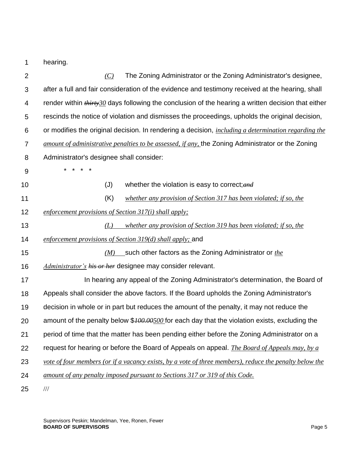1 hearing.

| $\overline{2}$ | The Zoning Administrator or the Zoning Administrator's designee,<br>(C)                                     |
|----------------|-------------------------------------------------------------------------------------------------------------|
| 3              | after a full and fair consideration of the evidence and testimony received at the hearing, shall            |
| 4              | render within $\frac{Hint+30}{$ days following the conclusion of the hearing a written decision that either |
| 5              | rescinds the notice of violation and dismisses the proceedings, upholds the original decision,              |
| 6              | or modifies the original decision. In rendering a decision, <i>including a determination regarding the</i>  |
| $\overline{7}$ | <i>amount of administrative penalties to be assessed, if any</i> , the Zoning Administrator or the Zoning   |
| 8              | Administrator's designee shall consider:                                                                    |
| 9              |                                                                                                             |
| 10             | whether the violation is easy to correct; and<br>(J)                                                        |
| 11             | (K)<br>whether any provision of Section 317 has been violated; if so, the                                   |
| 12             | enforcement provisions of Section $317(i)$ shall apply;                                                     |
| 13             | whether any provision of Section 319 has been violated; if so, the<br>(L)                                   |
| 14             | enforcement provisions of Section $319(d)$ shall apply; and                                                 |
| 15             | $(M)$ such other factors as the Zoning Administrator or <i>the</i>                                          |
| 16             | <i>Administrator's his or her</i> designee may consider relevant.                                           |
| 17             | In hearing any appeal of the Zoning Administrator's determination, the Board of                             |
| 18             | Appeals shall consider the above factors. If the Board upholds the Zoning Administrator's                   |
| 19             | decision in whole or in part but reduces the amount of the penalty, it may not reduce the                   |
| 20             | amount of the penalty below \$ <i>100.00500</i> for each day that the violation exists, excluding the       |
| 21             | period of time that the matter has been pending either before the Zoning Administrator on a                 |
| 22             | request for hearing or before the Board of Appeals on appeal. The Board of Appeals may, by a                |
| 23             | vote of four members (or if a vacancy exists, by a vote of three members), reduce the penalty below the     |
| 24             | amount of any penalty imposed pursuant to Sections 317 or 319 of this Code.                                 |
| 25             | $\frac{1}{1}$                                                                                               |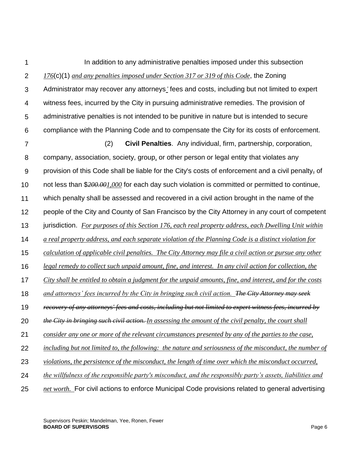1  $\mathcal{P}$ 3 4 5 6 7 8 9 10 11 12 13 14 15 16 17 18 19 20 21 22 23 24 25 In addition to any administrative penalties imposed under this subsection *176*(c)(1) *and any penalties imposed under Section 317 or 319 of this Code*, the Zoning Administrator may recover any attorneys*'* fees and costs, including but not limited to expert witness fees, incurred by the City in pursuing administrative remedies. The provision of administrative penalties is not intended to be punitive in nature but is intended to secure compliance with the Planning Code and to compensate the City for its costs of enforcement. (2) **Civil Penalties**. Any individual, firm, partnership, corporation, company, association, society, group*,* or other person or legal entity that violates any provision of this Code shall be liable for the City's costs of enforcement and a civil penalty*,* of not less than \$*200.001,000* for each day such violation is committed or permitted to continue, which penalty shall be assessed and recovered in a civil action brought in the name of the people of the City and County of San Francisco by the City Attorney in any court of competent jurisdiction. *For purposes of this Section 176, each real property address, each Dwelling Unit within a real property address, and each separate violation of the Planning Code is a distinct violation for calculation of applicable civil penalties. The City Attorney may file a civil action or pursue any other legal remedy to collect such unpaid amount, fine, and interest. In any civil action for collection, the City shall be entitled to obtain a judgment for the unpaid amounts, fine, and interest, and for the costs and attorneys' fees incurred by the City in bringing such civil action. The City Attorney may seek recovery of any attorneys' fees and costs, including but not limited to expert witness fees, incurred by the City in bringing such civil action. In assessing the amount of the civil penalty, the court shall consider any one or more of the relevant circumstances presented by any of the parties to the case, including but not limited to, the following: the nature and seriousness of the misconduct, the number of violations, the persistence of the misconduct, the length of time over which the misconduct occurred, the willfulness of the responsible party's misconduct, and the responsibly party's assets, liabilities and net worth.* For civil actions to enforce Municipal Code provisions related to general advertising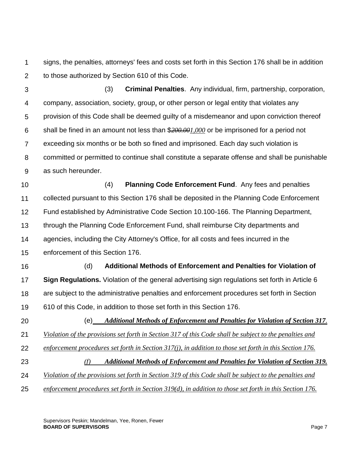1  $\mathcal{P}$ signs, the penalties, attorneys' fees and costs set forth in this Section 176 shall be in addition to those authorized by Section 610 of this Code.

3 4 5 6 7 8 9 (3) **Criminal Penalties**. Any individual, firm, partnership, corporation, company, association, society, group*,* or other person or legal entity that violates any provision of this Code shall be deemed guilty of a misdemeanor and upon conviction thereof shall be fined in an amount not less than \$*200.001,000* or be imprisoned for a period not exceeding six months or be both so fined and imprisoned. Each day such violation is committed or permitted to continue shall constitute a separate offense and shall be punishable as such hereunder.

10 11 12 13 14 15 (4) **Planning Code Enforcement Fund**. Any fees and penalties collected pursuant to this Section 176 shall be deposited in the Planning Code Enforcement Fund established by Administrative Code Section 10.100-166. The Planning Department, through the Planning Code Enforcement Fund, shall reimburse City departments and agencies, including the City Attorney's Office, for all costs and fees incurred in the enforcement of this Section 176.

- 16 17 18 19 (d) **Additional Methods of Enforcement and Penalties for Violation of Sign Regulations.** Violation of the general advertising sign regulations set forth in Article 6 are subject to the administrative penalties and enforcement procedures set forth in Section 610 of this Code, in addition to those set forth in this Section 176.
- 20 21 (e) *Additional Methods of Enforcement and Penalties for Violation of Section 317. Violation of the provisions set forth in Section 317 of this Code shall be subject to the penalties and* 
	- 22 *enforcement procedures set forth in Section 317(j), in addition to those set forth in this Section 176.*
	- 23 *(f) Additional Methods of Enforcement and Penalties for Violation of Section 319.*
	- 24 *Violation of the provisions set forth in Section 319 of this Code shall be subject to the penalties and*
	- 25 *enforcement procedures set forth in Section 319(d), in addition to those set forth in this Section 176.*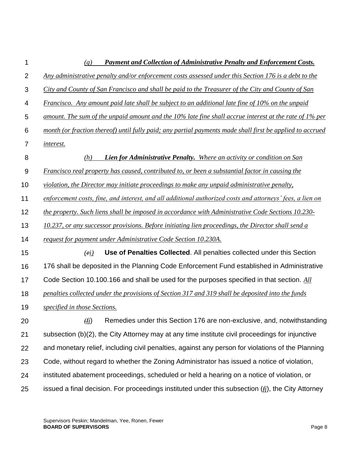| 1              | <b>Payment and Collection of Administrative Penalty and Enforcement Costs.</b><br>(g)                     |
|----------------|-----------------------------------------------------------------------------------------------------------|
| $\overline{2}$ | Any administrative penalty and/or enforcement costs assessed under this Section 176 is a debt to the      |
| 3              | City and County of San Francisco and shall be paid to the Treasurer of the City and County of San         |
| 4              | Francisco. Any amount paid late shall be subject to an additional late fine of 10% on the unpaid          |
| 5              | amount. The sum of the unpaid amount and the 10% late fine shall accrue interest at the rate of 1% per    |
| 6              | month (or fraction thereof) until fully paid; any partial payments made shall first be applied to accrued |
| 7              | <i>interest.</i>                                                                                          |
| 8              | <b>Lien for Administrative Penalty.</b> Where an activity or condition on San<br>(h)                      |
| 9              | Francisco real property has caused, contributed to, or been a substantial factor in causing the           |
| 10             | violation, the Director may initiate proceedings to make any unpaid administrative penalty,               |
| 11             | enforcement costs, fine, and interest, and all additional authorized costs and attorneys' fees, a lien on |
| 12             | the property. Such liens shall be imposed in accordance with Administrative Code Sections 10.230-         |
| 13             | 10.237, or any successor provisions. Before initiating lien proceedings, the Director shall send a        |
| 14             | request for payment under Administrative Code Section 10.230A.                                            |
| 15             | Use of Penalties Collected. All penalties collected under this Section<br>(ei)                            |
| 16             | 176 shall be deposited in the Planning Code Enforcement Fund established in Administrative                |
| 17             | Code Section 10.100.166 and shall be used for the purposes specified in that section. All                 |
| 18             | penalties collected under the provisions of Section 317 and 319 shall be deposited into the funds         |
| 19             | specified in those Sections.                                                                              |
| 20             | Remedies under this Section 176 are non-exclusive, and, notwithstanding<br>$(f_1)$                        |
| 21             | subsection (b)(2), the City Attorney may at any time institute civil proceedings for injunctive           |
| 22             | and monetary relief, including civil penalties, against any person for violations of the Planning         |
| 23             | Code, without regard to whether the Zoning Administrator has issued a notice of violation,                |
| 24             | instituted abatement proceedings, scheduled or held a hearing on a notice of violation, or                |
| 25             | issued a final decision. For proceedings instituted under this subsection $(fi)$ , the City Attorney      |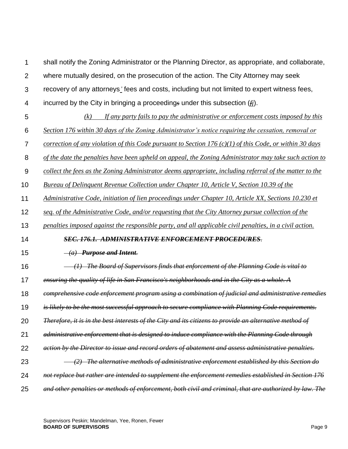$\mathcal{P}$ 3 4 5 6 7 8 9 10 11 12 13 14 15 16 17 18 19 20 21 22 23 24 where mutually desired, on the prosecution of the action. The City Attorney may seek recovery of any attorneys*'* fees and costs, including but not limited to expert witness fees, incurred by the City in bringing a proceeding*s* under this subsection (*fj*). *(k) If any party fails to pay the administrative or enforcement costs imposed by this Section 176 within 30 days of the Zoning Administrator's notice requiring the cessation, removal or correction of any violation of this Code pursuant to Section 176 (c)(1) of this Code, or within 30 days of the date the penalties have been upheld on appeal, the Zoning Administrator may take such action to collect the fees as the Zoning Administrator deems appropriate, including referral of the matter to the Bureau of Delinquent Revenue Collection under Chapter 10, Article V, Section 10.39 of the Administrative Code, initiation of lien proceedings under Chapter 10, Article XX, Sections 10.230 et seq. of the Administrative Code, and/or requesting that the City Attorney pursue collection of the penalties imposed against the responsible party, and all applicable civil penalties, in a civil action. SEC. 176.1. ADMINISTRATIVE ENFORCEMENT PROCEDURES. (a) Purpose and Intent. (1) The Board of Supervisors finds that enforcement of the Planning Code is vital to ensuring the quality of life in San Francisco's neighborhoods and in the City as a whole. A comprehensive code enforcement program using a combination of judicial and administrative remedies is likely to be the most successful approach to secure compliance with Planning Code requirements. Therefore, it is in the best interests of the City and its citizens to provide an alternative method of administrative enforcement that is designed to induce compliance with the Planning Code through action by the Director to issue and record orders of abatement and assess administrative penalties. (2) The alternative methods of administrative enforcement established by this Section do not replace but rather are intended to supplement the enforcement remedies established in Section 176* 

shall notify the Zoning Administrator or the Planning Director, as appropriate, and collaborate,

25 *and other penalties or methods of enforcement, both civil and criminal, that are authorized by law. The* 

1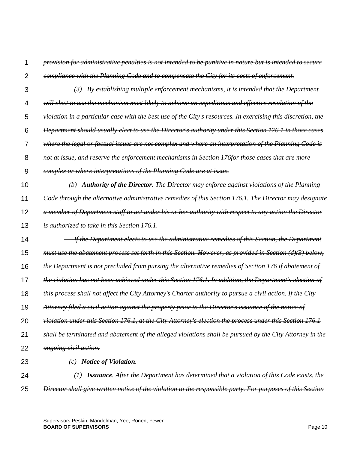1 *provision for administrative penalties is not intended to be punitive in nature but is intended to secure* 

- $\mathfrak{p}$ *compliance with the Planning Code and to compensate the City for its costs of enforcement.*
- 3 4 5 6 7 8  *(3) By establishing multiple enforcement mechanisms, it is intended that the Department will elect to use the mechanism most likely to achieve an expeditious and effective resolution of the violation in a particular case with the best use of the City's resources. In exercising this discretion, the Department should usually elect to use the Director's authority under this Section 176.1 in those cases where the legal or factual issues are not complex and where an interpretation of the Planning Code is not at issue, and reserve the enforcement mechanisms in Section 176for those cases that are more*
- 9 *complex or where interpretations of the Planning Code are at issue.*
- 10 11  *(b) Authority of the Director. The Director may enforce against violations of the Planning Code through the alternative administrative remedies of this Section 176.1. The Director may designate*
- 
- 12 *a member of Department staff to act under his or her authority with respect to any action the Director*
- 13 *is authorized to take in this Section 176.1.*
- 14 15 16 17 18 19 20 21  *If the Department elects to use the administrative remedies of this Section, the Department must use the abatement process set forth in this Section. However, as provided in Section (d)(3) below, the Department is not precluded from pursing the alternative remedies of Section 176 if abatement of the violation has not been achieved under this Section 176.1. In addition, the Department's election of this process shall not affect the City Attorney's Charter authority to pursue a civil action. If the City Attorney filed a civil action against the property prior to the Director's issuance of the notice of violation under this Section 176.1, at the City Attorney's election the process under this Section 176.1 shall be terminated and abatement of the alleged violations shall be pursued by the City Attorney in the*
- 22 *ongoing civil action.*

23

- *(c) Notice of Violation.*
- 24 25  *(1) Issuance. After the Department has determined that a violation of this Code exists, the Director shall give written notice of the violation to the responsible party. For purposes of this Section*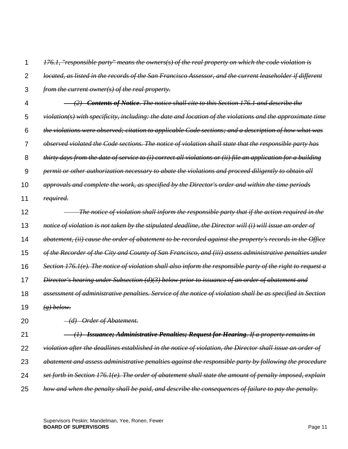1 *176.1, "responsible party" means the owners(s) of the real property on which the code violation is* 

- $\mathfrak{p}$ *located, as listed in the records of the San Francisco Assessor, and the current leaseholder if different*
- 3 *from the current owner(s) of the real property.*
- 4 5 6 7 8 9 10 11  *(2) Contents of Notice. The notice shall cite to this Section 176.1 and describe the violation(s) with specificity, including: the date and location of the violations and the approximate time the violations were observed; citation to applicable Code sections; and a description of how what was observed violated the Code sections. The notice of violation shall state that the responsible party has thirty days from the date of service to (i) correct all violations or (ii) file an application for a building permit or other authorization necessary to abate the violations and proceed diligently to obtain all approvals and complete the work, as specified by the Director's order and within the time periods required.*
- 12 13 14 15 16 17 18  *The notice of violation shall inform the responsible party that if the action required in the notice of violation is not taken by the stipulated deadline, the Director will (i) will issue an order of abatement, (ii) cause the order of abatement to be recorded against the property's records in the Office of the Recorder of the City and County of San Francisco, and (iii) assess administrative penalties under Section 176.1(e). The notice of violation shall also inform the responsible party of the right to request a Director's hearing under Subsection (d)(3) below prior to issuance of an order of abatement and assessment of administrative penalties. Service of the notice of violation shall be as specified in Section*
- 19 *(g) below.*
- 20  *(d) Order of Abatement.*
- 21 22 23 24 25  *(1) Issuance; Administrative Penalties; Request for Hearing. If a property remains in violation after the deadlines established in the notice of violation, the Director shall issue an order of abatement and assess administrative penalties against the responsible party by following the procedure set forth in Section 176.1(e). The order of abatement shall state the amount of penalty imposed, explain how and when the penalty shall be paid, and describe the consequences of failure to pay the penalty.*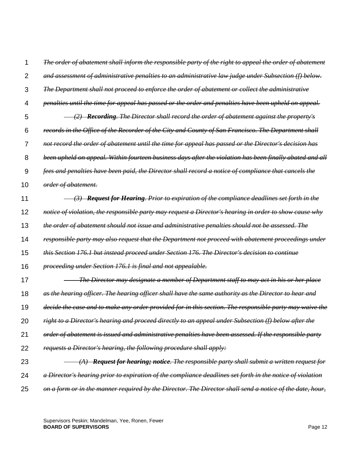1  $\mathfrak{p}$ 3 4 5 6 7 8 9 10 11 12 13 14 15 16 17 18 19 20 21 22 23 24 25 *The order of abatement shall inform the responsible party of the right to appeal the order of abatement and assessment of administrative penalties to an administrative law judge under Subsection (f) below. The Department shall not proceed to enforce the order of abatement or collect the administrative penalties until the time for appeal has passed or the order and penalties have been upheld on appeal. (2) Recording. The Director shall record the order of abatement against the property's records in the Office of the Recorder of the City and County of San Francisco. The Department shall not record the order of abatement until the time for appeal has passed or the Director's decision has been upheld on appeal. Within fourteen business days after the violation has been finally abated and all fees and penalties have been paid, the Director shall record a notice of compliance that cancels the order of abatement. (3) Request for Hearing. Prior to expiration of the compliance deadlines set forth in the notice of violation, the responsible party may request a Director's hearing in order to show cause why the order of abatement should not issue and administrative penalties should not be assessed. The responsible party may also request that the Department not proceed with abatement proceedings under this Section 176.1 but instead proceed under Section 176. The Director's decision to continue proceeding under Section 176.1 is final and not appealable. The Director may designate a member of Department staff to may act in his or her place as the hearing officer. The hearing officer shall have the same authority as the Director to hear and decide the case and to make any order provided for in this section. The responsible party may waive the right to a Director's hearing and proceed directly to an appeal under Subsection (f) below after the order of abatement is issued and administrative penalties have been assessed. If the responsible party requests a Director's hearing, the following procedure shall apply: (A) Request for hearing; notice. The responsible party shall submit a written request for a Director's hearing prior to expiration of the compliance deadlines set forth in the notice of violation on a form or in the manner required by the Director. The Director shall send a notice of the date, hour,*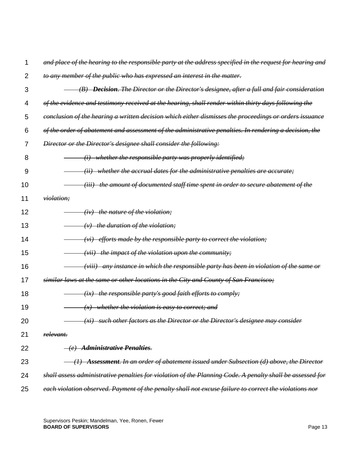$\mathfrak{p}$ 3 4 5 6 7 8 9 10 11 12 13 14 15 16 17 18 19 20 21 22 23 24 25 *to any member of the public who has expressed an interest in the matter. (B) Decision. The Director or the Director's designee, after a full and fair consideration of the evidence and testimony received at the hearing, shall render within thirty days following the conclusion of the hearing a written decision which either dismisses the proceedings or orders issuance of the order of abatement and assessment of the administrative penalties. In rendering a decision, the Director or the Director's designee shall consider the following: (i) whether the responsible party was properly identified; (ii) whether the accrual dates for the administrative penalties are accurate; (iii) the amount of documented staff time spent in order to secure abatement of the violation; (iv) the nature of the violation; (v) the duration of the violation; (vi) efforts made by the responsible party to correct the violation; (vii) the impact of the violation upon the community; (viii) any instance in which the responsible party has been in violation of the same or similar laws at the same or other locations in the City and County of San Francisco; (ix) the responsible party's good faith efforts to comply; (x) whether the violation is easy to correct; and (xi) such other factors as the Director or the Director's designee may consider relevant. (e) Administrative Penalties. (1) Assessment. In an order of abatement issued under Subsection (d) above, the Director shall assess administrative penalties for violation of the Planning Code. A penalty shall be assessed for each violation observed. Payment of the penalty shall not excuse failure to correct the violations nor* 

*and place of the hearing to the responsible party at the address specified in the request for hearing and* 

1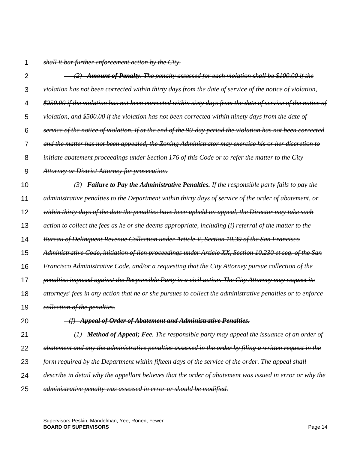1 *shall it bar further enforcement action by the City.*

| $\overline{2}$ | (2) Amount of Penalty. The penalty assessed for each violation shall be \$100.00 if the                      |
|----------------|--------------------------------------------------------------------------------------------------------------|
| 3              | violation has not been corrected within thirty days from the date of service of the notice of violation,     |
| 4              | \$250.00 if the violation has not been corrected within sixty days from the date of service of the notice of |
| 5              | violation, and \$500.00 if the violation has not been corrected within ninety days from the date of          |
| 6              | service of the notice of violation. If at the end of the 90-day period the violation has not been corrected  |
| 7              | and the matter has not been appealed, the Zoning Administrator may exercise his or her discretion to         |
| 8              | initiate abatement proceedings under Section 176 of this Code or to refer the matter to the City             |
| 9              | <b>Attorney or District Attorney for prosecution.</b>                                                        |
| 10             | (3) Failure to Pay the Administrative Penalties. If the responsible party fails to pay the                   |
| 11             | administrative penalties to the Department within thirty days of service of the order of abatement, or       |
| 12             | within thirty days of the date the penalties have been upheld on appeal, the Director may take such          |
| 13             | action to collect the fees as he or she deems appropriate, including (i) referral of the matter to the       |
| 14             | <b>Bureau of Delinguent Revenue Collection under Article V, Section 10.39 of the San Francisco</b>           |
| 15             | Administrative Code, initiation of lien proceedings under Article XX, Section 10.230 et seq. of the San      |
| 16             | Francisco Administrative Code, and/or a requesting that the City Attorney pursue collection of the           |
| 17             | penalties imposed against the Responsible Party in a civil action. The City Attorney may request its         |
| 18             | attorneys' fees in any action that he or she pursues to collect the administrative penalties or to enforce   |
| 19             | <i>collection of the penalties.</i>                                                                          |
| 20             | -(f) Appeal of Order of Abatement and Administrative Penalties.                                              |
| 21             | (1) Method of Appeal; Fee. The responsible party may appeal the issuance of an order of                      |
| 22             | abatement and any the administrative penalties assessed in the order by filing a written request in the      |
| 23             | form required by the Department within fifteen days of the service of the order. The appeal shall            |
| 24             | describe in detail why the appellant believes that the order of abatement was issued in error or why the     |
| 25             | administrative penalty was assessed in error or should be modified.                                          |

Supervisors Peskin; Mandelman, Yee, Ronen, Fewer **BOARD OF SUPERVISORS** Page 14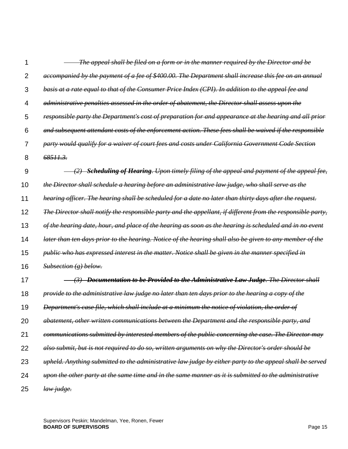| 1              | The appeal shall be filed on a form or in the manner required by the Director and be                        |
|----------------|-------------------------------------------------------------------------------------------------------------|
| $\overline{2}$ | accompanied by the payment of a fee of \$400.00. The Department shall increase this fee on an annual        |
| 3              | basis at a rate equal to that of the Consumer Price Index (CPI). In addition to the appeal fee and          |
| 4              | administrative penalties assessed in the order of abatement, the Director shall assess upon the             |
| 5              | responsible party the Department's cost of preparation for and appearance at the hearing and all prior      |
| 6              | and subsequent attendant costs of the enforcement action. These fees shall be waived if the responsible     |
| 7              | party would qualify for a waiver of court fees and costs under California Government Code Section           |
| 8              | <del>68511.3.</del>                                                                                         |
| 9              | $(2)$ <b>Scheduling of Hearing</b> . Upon timely filing of the appeal and payment of the appeal fee,        |
| 10             | the Director shall schedule a hearing before an administrative law judge, who shall serve as the            |
| 11             | hearing officer. The hearing shall be scheduled for a date no later than thirty days after the request.     |
| 12             | The Director shall notify the responsible party and the appellant, if different from the responsible party, |
| 13             | of the hearing date, hour, and place of the hearing as soon as the hearing is scheduled and in no event     |
| 14             | later than ten days prior to the hearing. Notice of the hearing shall also be given to any member of the    |
| 15             | public who has expressed interest in the matter. Notice shall be given in the manner specified in           |
| 16             | Subsection(g) below.                                                                                        |
| 17             | (3) Documentation to be Provided to the Administrative Law Judge. The Director shall                        |
| 18             | provide to the administrative law judge no later than ten days prior to the hearing a copy of the           |
| 19             | Department's case file, which shall include at a minimum the notice of violation, the order of              |
| 20             | abatement, other written communications between the Department and the responsible party, and               |
| 21             | communications submitted by interested members of the public concerning the case. The Director may          |
| 22             | also submit, but is not required to do so, written arguments on why the Director's order should be          |
| 23             | upheld. Anything submitted to the administrative law judge by either party to the appeal shall be served    |
| 24             | upon the other party at the same time and in the same manner as it is submitted to the administrative       |
| 25             | law judge.                                                                                                  |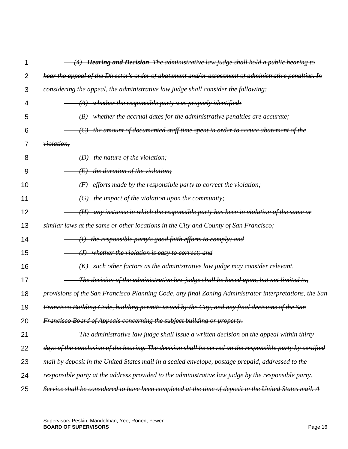| 1  | <b>Hearing and Decision</b> . The administrative law judge shall hold a public hearing to<br>(4)          |
|----|-----------------------------------------------------------------------------------------------------------|
| 2  | hear the appeal of the Director's order of abatement and/or assessment of administrative penalties. In    |
| 3  | considering the appeal, the administrative law judge shall consider the following:                        |
| 4  | $(A)$ whether the responsible party was properly identified;                                              |
| 5  | whether the accrual dates for the administrative penalties are accurate;<br>$\langle B \rangle$           |
| 6  | the amount of documented staff time spent in order to secure abatement of the<br>$\left(\text{C}\right)$  |
| 7  | <i>violation</i> ;                                                                                        |
| 8  | $(D)$ the nature of the violation;                                                                        |
| 9  | the duration of the violation;<br>(E)                                                                     |
| 10 | efforts made by the responsible party to correct the violation;<br>$\langle F \rangle$                    |
| 11 | the impact of the violation upon the community;<br>$\left( G\right)$                                      |
| 12 | any instance in which the responsible party has been in violation of the same or<br>$\left(\bm{H}\right)$ |
| 13 | similar laws at the same or other locations in the City and County of San Francisco;                      |
| 14 | $(H)$ the responsible party's good faith efforts to comply; and                                           |
| 15 | (J) whether the violation is easy to correct; and                                                         |
| 16 | such other factors as the administrative law judge may consider relevant.<br>(K)                          |
| 17 | The decision of the administrative law judge shall be based upon, but not limited to,                     |
| 18 | provisions of the San Francisco Planning Code, any final Zoning Administrator interpretations, the San    |
| 19 | Francisco Building Code, building permits issued by the City, and any final decisions of the San          |
| 20 | Francisco Board of Appeals concerning the subject building or property.                                   |
| 21 | The administrative law judge shall issue a written decision on the appeal within thirty                   |
| 22 | days of the conclusion of the hearing. The decision shall be served on the responsible party by certified |
| 23 | mail by deposit in the United States mail in a sealed envelope, postage prepaid, addressed to the         |
| 24 | responsible party at the address provided to the administrative law judge by the responsible party.       |
| 25 | Service shall be considered to have been completed at the time of deposit in the United States mail. A    |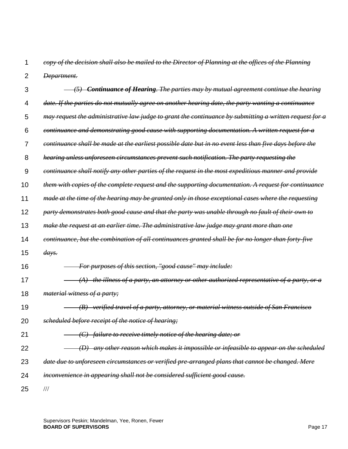1 2 *copy of the decision shall also be mailed to the Director of Planning at the offices of the Planning Department.*

| 3  | $(5)$ Continuance of Hearing. The parties may by mutual agreement continue the hearing                  |
|----|---------------------------------------------------------------------------------------------------------|
| 4  | date. If the parties do not mutually agree on another hearing date, the party wanting a continuance     |
| 5  | may request the administrative law judge to grant the continuance by submitting a written request for a |
| 6  | continuance and demonstrating good cause with supporting documentation. A written request for a         |
| 7  | continuance shall be made at the earliest possible date but in no event less than five days before the  |
| 8  | hearing unless unforeseen circumstances prevent such notification. The party requesting the             |
| 9  | continuance shall notify any other parties of the request in the most expeditious manner and provide    |
| 10 | them with copies of the complete request and the supporting documentation. A request for continuance    |
| 11 | made at the time of the hearing may be granted only in those exceptional cases where the requesting     |
| 12 | party demonstrates both good cause and that the party was unable through no fault of their own to       |
| 13 | make the request at an earlier time. The administrative law judge may grant more than one               |
| 14 | continuance, but the combination of all continuances granted shall be for no longer than forty-five     |
| 15 | $\frac{days.}{$                                                                                         |
| 16 | For purposes of this section, "good cause" may include:                                                 |
| 17 | $(A)$ the illness of a party, an attorney or other authorized representative of a party, or a           |
| 18 | <i>material witness of a party;</i>                                                                     |
| 19 | (B) verified travel of a party, attorney, or material witness outside of San Francisco                  |
| 20 | scheduled before receipt of the notice of hearing;                                                      |
| 21 | $\langle C \rangle$ failure to receive timely notice of the hearing date; or                            |
| 22 | (D) any other reason which makes it impossible or infeasible to appear on the scheduled                 |
| 23 | date due to unforeseen circumstances or verified pre-arranged plans that cannot be changed. Mere        |
| 24 | inconvenience in appearing shall not be considered sufficient good cause.                               |
| 25 | $/\!/ \!/$                                                                                              |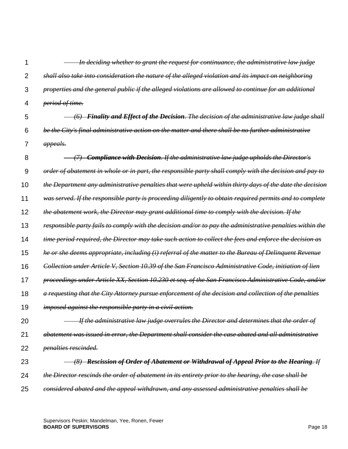1  $\mathfrak{p}$ 3 4 5 6 7 8 9 10 11 12 13 14 15 16 17 18 19 20 21 22 23  *In deciding whether to grant the request for continuance, the administrative law judge shall also take into consideration the nature of the alleged violation and its impact on neighboring properties and the general public if the alleged violations are allowed to continue for an additional period of time. (6) Finality and Effect of the Decision. The decision of the administrative law judge shall be the City's final administrative action on the matter and there shall be no further administrative appeals. (7) Compliance with Decision. If the administrative law judge upholds the Director's order of abatement in whole or in part, the responsible party shall comply with the decision and pay to the Department any administrative penalties that were upheld within thirty days of the date the decision was served. If the responsible party is proceeding diligently to obtain required permits and to complete the abatement work, the Director may grant additional time to comply with the decision. If the responsible party fails to comply with the decision and/or to pay the administrative penalties within the time period required, the Director may take such action to collect the fees and enforce the decision as he or she deems appropriate, including (i) referral of the matter to the Bureau of Delinquent Revenue Collection under Article V, Section 10.39 of the San Francisco Administrative Code, initiation of lien proceedings under Article XX, Section 10.230 et seq. of the San Francisco Administrative Code, and/or a requesting that the City Attorney pursue enforcement of the decision and collection of the penalties imposed against the responsible party in a civil action. If the administrative law judge overrules the Director and determines that the order of abatement was issued in error, the Department shall consider the case abated and all administrative penalties rescinded. (8) Rescission of Order of Abatement or Withdrawal of Appeal Prior to the Hearing. If* 

- 24 *the Director rescinds the order of abatement in its entirety prior to the hearing, the case shall be*
- 25 *considered abated and the appeal withdrawn, and any assessed administrative penalties shall be*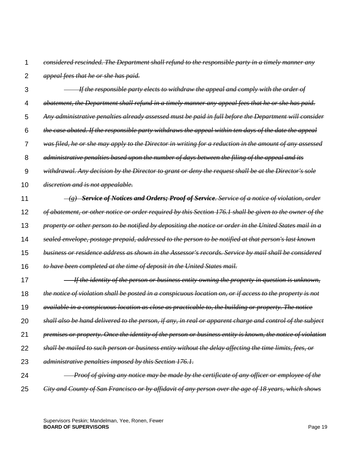1

*considered rescinded. The Department shall refund to the responsible party in a timely manner any* 

- $\mathfrak{p}$ *appeal fees that he or she has paid.*
- 3 4 5 6 7 8 9 10 11 12  *If the responsible party elects to withdraw the appeal and comply with the order of abatement, the Department shall refund in a timely manner any appeal fees that he or she has paid. Any administrative penalties already assessed must be paid in full before the Department will consider the case abated. If the responsible party withdraws the appeal within ten days of the date the appeal was filed, he or she may apply to the Director in writing for a reduction in the amount of any assessed administrative penalties based upon the number of days between the filing of the appeal and its withdrawal. Any decision by the Director to grant or deny the request shall be at the Director's sole discretion and is not appealable. (g) Service of Notices and Orders; Proof of Service. Service of a notice of violation, order of abatement, or other notice or order required by this Section 176.1 shall be given to the owner of the*
- 13 *property or other person to be notified by depositing the notice or order in the United States mail in a*
- 14 *sealed envelope, postage prepaid, addressed to the person to be notified at that person's last known*
- 15 *business or residence address as shown in the Assessor's records. Service by mail shall be considered*
- 16 *to have been completed at the time of deposit in the United States mail.*
- 17 18 19 20 21 22 23  *If the identity of the person or business entity owning the property in question is unknown, the notice of violation shall be posted in a conspicuous location on, or if access to the property is not available in a conspicuous location as close as practicable to, the building or property. The notice shall also be hand delivered to the person, if any, in real or apparent charge and control of the subject premises or property. Once the identity of the person or business entity is known, the notice of violation shall be mailed to such person or business entity without the delay affecting the time limits, fees, or administrative penalties imposed by this Section 176.1.*
- 24 25  *Proof of giving any notice may be made by the certificate of any officer or employee of the City and County of San Francisco or by affidavit of any person over the age of 18 years, which shows*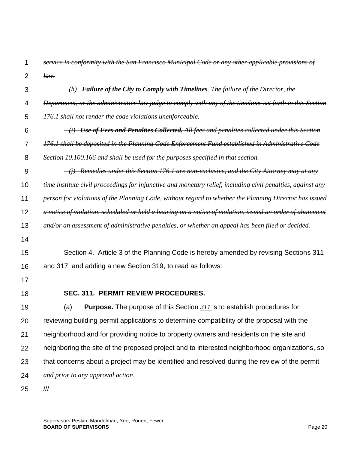| 1  | service in conformity with the San Francisco Municipal Code or any other applicable provisions of           |
|----|-------------------------------------------------------------------------------------------------------------|
| 2  | taw.                                                                                                        |
| 3  | $-(h)$ Failure of the City to Comply with Timelines. The failure of the Director, the                       |
| 4  | Department, or the administrative law judge to comply with any of the timelines set forth in this Section   |
| 5  | 176.1 shall not render the code violations unenforceable.                                                   |
| 6  | <i>(i) Use of Fees and Penalties Collected. All fees and penalties collected under this Section</i>         |
| 7  | 176.1 shall be deposited in the Planning Code Enforcement Fund established in Administrative Code           |
| 8  | Section 10.100.166 and shall be used for the purposes specified in that section.                            |
| 9  | $\frac{1}{1}$ Remedies under this Section 176.1 are non-exclusive, and the City Attorney may at any         |
| 10 | time institute civil proceedings for injunctive and monetary relief, including civil penalties, against any |
| 11 | person for violations of the Planning Code, without regard to whether the Planning Director has issued      |
| 12 | a notice of violation, scheduled or held a hearing on a notice of violation, issued an order of abatement   |
| 13 | and/or an assessment of administrative penalties, or whether an appeal has been filed or decided.           |
| 14 |                                                                                                             |
| 15 | Section 4. Article 3 of the Planning Code is hereby amended by revising Sections 311                        |
| 16 | and 317, and adding a new Section 319, to read as follows:                                                  |
| 17 |                                                                                                             |
| 18 | SEC. 311. PERMIT REVIEW PROCEDURES.                                                                         |
| 19 | <b>Purpose.</b> The purpose of this Section 311 is to establish procedures for<br>(a)                       |
| 20 | reviewing building permit applications to determine compatibility of the proposal with the                  |
| 21 | neighborhood and for providing notice to property owners and residents on the site and                      |
| 22 | neighboring the site of the proposed project and to interested neighborhood organizations, so               |
| 23 | that concerns about a project may be identified and resolved during the review of the permit                |
| 24 | and prior to any approval action.                                                                           |
| 25 | ///                                                                                                         |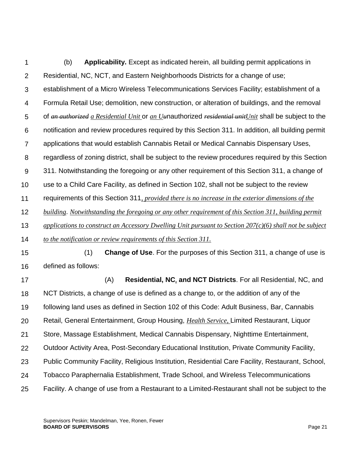1  $\mathcal{P}$ 3 4 5 6 7 8 9 10 11 12 13 14 15 16 17 18 19 20 21 22 23 24 25 (b) **Applicability.** Except as indicated herein, all building permit applications in Residential, NC, NCT, and Eastern Neighborhoods Districts for a change of use; establishment of a Micro Wireless Telecommunications Services Facility; establishment of a Formula Retail Use; demolition, new construction, or alteration of buildings, and the removal of *an authorized a Residential Unit* or *an Uu*nauthorized *residential unitUnit* shall be subject to the notification and review procedures required by this Section 311. In addition, all building permit applications that would establish Cannabis Retail or Medical Cannabis Dispensary Uses, regardless of zoning district, shall be subject to the review procedures required by this Section 311. Notwithstanding the foregoing or any other requirement of this Section 311, a change of use to a Child Care Facility, as defined in Section 102, shall not be subject to the review requirements of this Section 311*, provided there is no increase in the exterior dimensions of the building*. *Notwithstanding the foregoing or any other requirement of this Section 311, building permit applications to construct an Accessory Dwelling Unit pursuant to Section 207(c)(6) shall not be subject to the notification or review requirements of this Section 311.* (1) **Change of Use**. For the purposes of this Section 311, a change of use is defined as follows: (A) **Residential, NC***,* **and NCT Districts**. For all Residential, NC, and NCT Districts, a change of use is defined as a change to, or the addition of any of the following land uses as defined in Section 102 of this Code: Adult Business, Bar, Cannabis Retail, General Entertainment, Group Housing, *Health Service,* Limited Restaurant, Liquor Store, Massage Establishment, Medical Cannabis Dispensary, Nighttime Entertainment, Outdoor Activity Area, Post-Secondary Educational Institution, Private Community Facility, Public Community Facility, Religious Institution, Residential Care Facility, Restaurant, School, Tobacco Paraphernalia Establishment, Trade School, and Wireless Telecommunications Facility. A change of use from a Restaurant to a Limited-Restaurant shall not be subject to the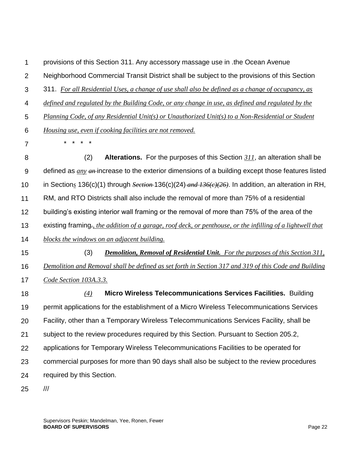1 provisions of this Section 311. Any accessory massage use in .the Ocean Avenue

 $\mathcal{P}$ Neighborhood Commercial Transit District shall be subject to the provisions of this Section

3 311. *For all Residential Uses, a change of use shall also be defined as a change of occupancy, as* 

4 *defined and regulated by the Building Code, or any change in use, as defined and regulated by the* 

5 *Planning Code, of any Residential Unit(s) or Unauthorized Unit(s) to a Non-Residential or Student* 

6 *Housing use, even if cooking facilities are not removed.*

\* \* \* \*

7

8 9 10 11 12 13 14 15 16 17 (2) **Alterations.** For the purposes of this Section *311*, an alteration shall be defined as *any an* increase to the exterior dimensions of a building except those features listed in Section*s* 136(c)(1) through *Section* 136(c)(24) *and 136(c)(26)*. In addition, an alteration in RH, RM, and RTO Districts shall also include the removal of more than 75% of a residential building's existing interior wall framing or the removal of more than 75% of the area of the existing framing*., the addition of a garage, roof deck, or penthouse, or the infilling of a lightwell that blocks the windows on an adjacent building.* (3) *Demolition, Removal of Residential Unit. For the purposes of this Section 311, Demolition and Removal shall be defined as set forth in Section 317 and 319 of this Code and Building Code Section 103A.3.3.*

18 19 20 21 22 23 24 *(4)* **Micro Wireless Telecommunications Services Facilities.** Building permit applications for the establishment of a Micro Wireless Telecommunications Services Facility, other than a Temporary Wireless Telecommunications Services Facility, shall be subject to the review procedures required by this Section. Pursuant to Section 205.2, applications for Temporary Wireless Telecommunications Facilities to be operated for commercial purposes for more than 90 days shall also be subject to the review procedures required by this Section.

25 ///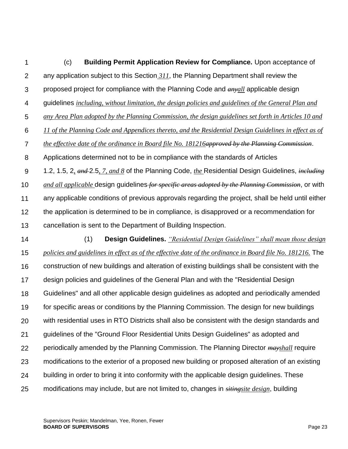1  $\mathcal{P}$ 3 4 5 6 7 8 9 10 11 12 13 14 15 16 (c) **Building Permit Application Review for Compliance.** Upon acceptance of any application subject to this Section *311*, the Planning Department shall review the proposed project for compliance with the Planning Code and *anyall* applicable design guidelines *including, without limitation, the design policies and guidelines of the General Plan and any Area Plan adopted by the Planning Commission, the design guidelines set forth in Articles 10 and 11 of the Planning Code and Appendices thereto, and the Residential Design Guidelines in effect as of the effective date of the ordinance in Board file No. 181216approved by the Planning Commission*. Applications determined not to be in compliance with the standards of [Articles](http://library.amlegal.com/nxt/gateway.dll?f=jumplink$jumplink_x=Advanced$jumplink_vpc=first$jumplink_xsl=querylink.xsl$jumplink_sel=title;path;content-type;home-title;item-bookmark$jumplink_d=california(planning)$jumplink_q=%5bfield%20folio-destination-name:%27Article%201.2%27%5d$jumplink_md=target-id=JD_Article1.2)  [1.2,](http://library.amlegal.com/nxt/gateway.dll?f=jumplink$jumplink_x=Advanced$jumplink_vpc=first$jumplink_xsl=querylink.xsl$jumplink_sel=title;path;content-type;home-title;item-bookmark$jumplink_d=california(planning)$jumplink_q=%5bfield%20folio-destination-name:%27Article%201.2%27%5d$jumplink_md=target-id=JD_Article1.2) [1.5,](http://library.amlegal.com/nxt/gateway.dll?f=jumplink$jumplink_x=Advanced$jumplink_vpc=first$jumplink_xsl=querylink.xsl$jumplink_sel=title;path;content-type;home-title;item-bookmark$jumplink_d=california(planning)$jumplink_q=%5bfield%20folio-destination-name:%27Article%201.5%27%5d$jumplink_md=target-id=JD_Article1.5) [2](http://library.amlegal.com/nxt/gateway.dll?f=jumplink$jumplink_x=Advanced$jumplink_vpc=first$jumplink_xsl=querylink.xsl$jumplink_sel=title;path;content-type;home-title;item-bookmark$jumplink_d=california(planning)$jumplink_q=%5bfield%20folio-destination-name:%27Article%202%27%5d$jumplink_md=target-id=JD_Article2)*, and* [2.5](http://library.amlegal.com/nxt/gateway.dll?f=jumplink$jumplink_x=Advanced$jumplink_vpc=first$jumplink_xsl=querylink.xsl$jumplink_sel=title;path;content-type;home-title;item-bookmark$jumplink_d=california(planning)$jumplink_q=%5bfield%20folio-destination-name:%27Article%202.5%27%5d$jumplink_md=target-id=JD_Article2.5)*, 7, and 8* of the Planning Code, *the* Residential Design Guidelines, *including and all applicable* design guidelines *for specific areas adopted by the Planning Commission*, or with any applicable conditions of previous approvals regarding the project, shall be held until either the application is determined to be in compliance, is disapproved or a recommendation for cancellation is sent to the Department of Building Inspection. (1) **Design Guidelines.** *"Residential Design Guidelines" shall mean those design policies and guidelines in effect as of the effective date of the ordinance in Board file No. 181216.* The construction of new buildings and alteration of existing buildings shall be consistent with the

17 design policies and guidelines of the General Plan and with the "Residential Design

18 Guidelines" and all other applicable design guidelines as adopted and periodically amended

19 for specific areas or conditions by the Planning Commission. The design for new buildings

20 with residential uses in RTO Districts shall also be consistent with the design standards and

21 guidelines of the "Ground Floor Residential Units Design Guidelines" as adopted and

22 periodically amended by the Planning Commission. The Planning Director *mayshall* require

23 modifications to the exterior of a proposed new building or proposed alteration of an existing

24 building in order to bring it into conformity with the applicable design guidelines. These

25 modifications may include, but are not limited to, changes in *sitingsite design*, building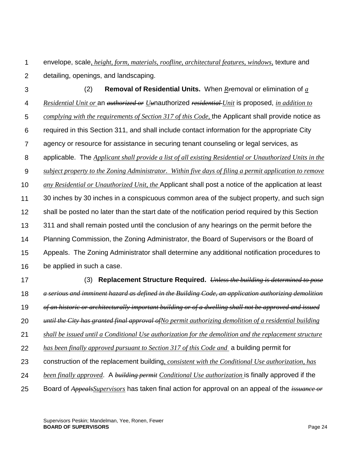1  $\mathcal{P}$ envelope, scale*, height, form, materials, roofline, architectural features, windows,* texture and detailing, openings, and landscaping.

3 4 5 6 7 8 9 10 11 12 13 14 15 16 17 18 19 20 (2) **Removal of Residential Units.** When *Rr*emoval or elimination of *a Residential Unit or* an *authorized or Uu*nauthorized *residential Unit* is proposed, *in addition to complying with the requirements of Section 317 of this Code,* the Applicant shall provide notice as required in this Section 311, and shall include contact information for the appropriate City agency or resource for assistance in securing tenant counseling or legal services, as applicable. The *Applicant shall provide a list of all existing Residential or Unauthorized Units in the subject property to the Zoning Administrator. Within five days of filing a permit application to remove any Residential or Unauthorized Unit, the* Applicant shall post a notice of the application at least 30 inches by 30 inches in a conspicuous common area of the subject property, and such sign shall be posted no later than the start date of the notification period required by this Section 311 and shall remain posted until the conclusion of any hearings on the permit before the Planning Commission, the Zoning Administrator, the Board of Supervisors or the Board of Appeals. The Zoning Administrator shall determine any additional notification procedures to be applied in such a case. (3) **Replacement Structure Required.** *Unless the building is determined to pose a serious and imminent hazard as defined in the Building Code, an application authorizing demolition of an historic or architecturally important building or of a dwelling shall not be approved and issued until the City has granted final approval ofNo permit authorizing demolition of a residential building* 

21 *shall be issued until a Conditional Use authorization for the demolition and the replacement structure* 

- 22 *has been finally approved pursuant to Section 317 of this Code and* a building permit for
- 23 construction of the replacement building*, consistent with the Conditional Use authorization, has*

24 *been finally approved*. A *building permit Conditional Use authorization* is finally approved if the

25 Board of *AppealsSupervisors* has taken final action for approval on an appeal of the *issuance or*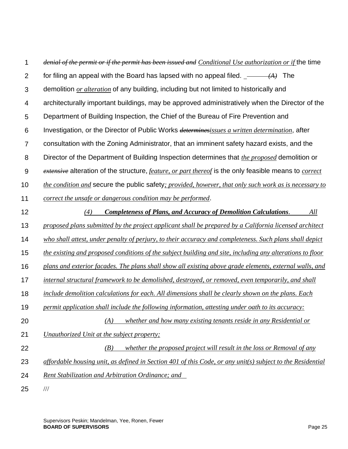| 1              | denial of the permit or if the permit has been issued and Conditional Use authorization or if the time              |
|----------------|---------------------------------------------------------------------------------------------------------------------|
| $\overline{2}$ | for filing an appeal with the Board has lapsed with no appeal filed. $\frac{1}{(A)}$ The                            |
| 3              | demolition <i>or alteration</i> of any building, including but not limited to historically and                      |
| $\overline{4}$ | architecturally important buildings, may be approved administratively when the Director of the                      |
| 5              | Department of Building Inspection, the Chief of the Bureau of Fire Prevention and                                   |
| 6              | Investigation, or the Director of Public Works <i>determinesissues a written determination</i> , after              |
| 7              | consultation with the Zoning Administrator, that an imminent safety hazard exists, and the                          |
| 8              | Director of the Department of Building Inspection determines that <i>the proposed</i> demolition or                 |
| 9              | extensive alteration of the structure, <i>feature, or part thereof</i> is the only feasible means to <i>correct</i> |
| 10             | the condition and secure the public safety; provided, however, that only such work as is necessary to               |
| 11             | correct the unsafe or dangerous condition may be performed.                                                         |
| 12             | <b>Completeness of Plans, and Accuracy of Demolition Calculations.</b><br>All<br>(4)                                |
| 13             | proposed plans submitted by the project applicant shall be prepared by a California licensed architect              |
| 14             | who shall attest, under penalty of perjury, to their accuracy and completeness. Such plans shall depict             |
| 15             | the existing and proposed conditions of the subject building and site, including any alterations to floor           |
| 16             | plans and exterior facades. The plans shall show all existing above grade elements, external walls, and             |
| 17             | internal structural framework to be demolished, destroyed, or removed, even temporarily, and shall                  |
| 18             | include demolition calculations for each. All dimensions shall be clearly shown on the plans. Each                  |
| 19             | permit application shall include the following information, attesting under oath to its accuracy:                   |
| 20             | whether and how many existing tenants reside in any Residential or<br>(A)                                           |
| 21             | Unauthorized Unit at the subject property;                                                                          |
| 22             | whether the proposed project will result in the loss or Removal of any<br>(B)                                       |
| 23             | $affordable$ housing unit, as defined in Section 401 of this Code, or any unit(s) subject to the Residential        |
| 24             | Rent Stabilization and Arbitration Ordinance; and                                                                   |
| 25             | $\frac{1}{1}$                                                                                                       |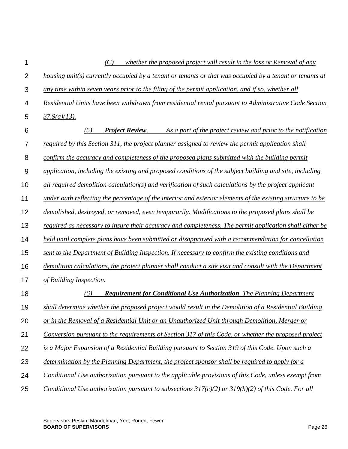| 1              | (C)<br>whether the proposed project will result in the loss or Removal of any                              |
|----------------|------------------------------------------------------------------------------------------------------------|
| $\overline{2}$ | housing unit(s) currently occupied by a tenant or tenants or that was occupied by a tenant or tenants at   |
| 3              | any time within seven years prior to the filing of the permit application, and if so, whether all          |
| 4              | Residential Units have been withdrawn from residential rental pursuant to Administrative Code Section      |
| 5              | $\frac{37.9(a)(13)}{2}$                                                                                    |
| 6              | (5)<br><b>Project Review.</b><br>As a part of the project review and prior to the notification             |
| 7              | required by this Section 311, the project planner assigned to review the permit application shall          |
| 8              | confirm the accuracy and completeness of the proposed plans submitted with the building permit             |
| 9              | application, including the existing and proposed conditions of the subject building and site, including    |
| 10             | all required demolition calculation(s) and verification of such calculations by the project applicant      |
| 11             | under oath reflecting the percentage of the interior and exterior elements of the existing structure to be |
| 12             | demolished, destroyed, or removed, even temporarily. Modifications to the proposed plans shall be          |
| 13             | required as necessary to insure their accuracy and completeness. The permit application shall either be    |
| 14             | held until complete plans have been submitted or disapproved with a recommendation for cancellation        |
| 15             | sent to the Department of Building Inspection. If necessary to confirm the existing conditions and         |
| 16             | demolition calculations, the project planner shall conduct a site visit and consult with the Department    |
| 17             | of Building Inspection.                                                                                    |
| 18             | <b>Requirement for Conditional Use Authorization.</b> The Planning Department<br>(6)                       |
| 19             | shall determine whether the proposed project would result in the Demolition of a Residential Building      |
| 20             | or in the Removal of a Residential Unit or an Unauthorized Unit through Demolition, Merger or              |
| 21             | Conversion pursuant to the requirements of Section 317 of this Code, or whether the proposed project       |
| 22             | is a Major Expansion of a Residential Building pursuant to Section 319 of this Code. Upon such a           |
| 23             | determination by the Planning Department, the project sponsor shall be required to apply for a             |
| 24             | Conditional Use authorization pursuant to the applicable provisions of this Code, unless exempt from       |
| 25             | Conditional Use authorization pursuant to subsections $317(c)(2)$ or $319(h)(2)$ of this Code. For all     |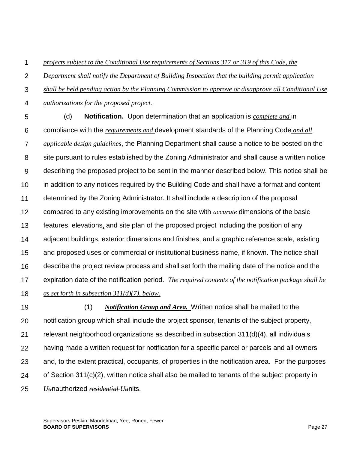1 *projects subject to the Conditional Use requirements of Sections 317 or 319 of this Code, the* 

 $\mathcal{P}$ *Department shall notify the Department of Building Inspection that the building permit application* 

3 *shall be held pending action by the Planning Commission to approve or disapprove all Conditional Use* 

4 *authorizations for the proposed project.*

5 6 7 8 9 10 11 12 13 14 15 16 17 18 (d) **Notification.** Upon determination that an application is *complete and* in compliance with the *requirements and* development standards of the Planning Code *and all applicable design guidelines*, the Planning Department shall cause a notice to be posted on the site pursuant to rules established by the Zoning Administrator and shall cause a written notice describing the proposed project to be sent in the manner described below. This notice shall be in addition to any notices required by the Building Code and shall have a format and content determined by the Zoning Administrator. It shall include a description of the proposal compared to any existing improvements on the site with *accurate* dimensions of the basic features, elevations*,* and site plan of the proposed project including the position of any adjacent buildings, exterior dimensions and finishes, and a graphic reference scale, existing and proposed uses or commercial or institutional business name, if known. The notice shall describe the project review process and shall set forth the mailing date of the notice and the expiration date of the notification period. *The required contents of the notification package shall be as set forth in subsection 311(d)(7), below.*

19 20 21 22 23 24 25 (1) *Notification Group and Area.* Written notice shall be mailed to the notification group which shall include the project sponsor, tenants of the subject property, relevant neighborhood organizations as described in subsection [311\(](http://library.amlegal.com/nxt/gateway.dll?f=jumplink$jumplink_x=Advanced$jumplink_vpc=first$jumplink_xsl=querylink.xsl$jumplink_sel=title;path;content-type;home-title;item-bookmark$jumplink_d=california(planning)$jumplink_q=%5bfield%20folio-destination-name:%27311%27%5d$jumplink_md=target-id=JD_311)d)(4), all individuals having made a written request for notification for a specific parcel or parcels and all owners and, to the extent practical, occupants, of properties in the notification area. For the purposes of Section [311\(](http://library.amlegal.com/nxt/gateway.dll?f=jumplink$jumplink_x=Advanced$jumplink_vpc=first$jumplink_xsl=querylink.xsl$jumplink_sel=title;path;content-type;home-title;item-bookmark$jumplink_d=california(planning)$jumplink_q=%5bfield%20folio-destination-name:%27311%27%5d$jumplink_md=target-id=JD_311)c)(2), written notice shall also be mailed to tenants of the subject property in *U<sub>tt</sub>*nauthorized *residential* U<sub>tt</sub>nits.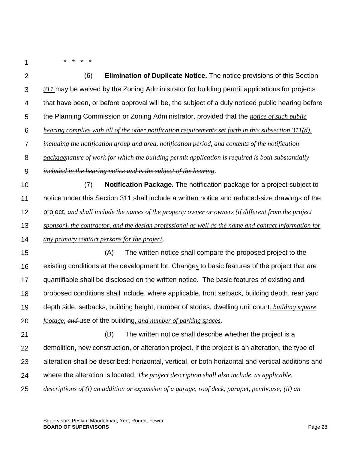1

\* \* \* \*

| $\overline{2}$   | (6)<br><b>Elimination of Duplicate Notice.</b> The notice provisions of this Section                  |
|------------------|-------------------------------------------------------------------------------------------------------|
| $\sqrt{3}$       | 311 may be waived by the Zoning Administrator for building permit applications for projects           |
| 4                | that have been, or before approval will be, the subject of a duly noticed public hearing before       |
| 5                | the Planning Commission or Zoning Administrator, provided that the <i>notice of such public</i>       |
| 6                | hearing complies with all of the other notification requirements set forth in this subsection 311(d), |
| $\overline{7}$   | including the notification group and area, notification period, and contents of the notification      |
| $\bf 8$          | packagenature of work for which the building permit application is required is both substantially     |
| $\boldsymbol{9}$ | included in the hearing notice and is the subject of the hearing.                                     |
| 10               | Notification Package. The notification package for a project subject to<br>(7)                        |
| 11               | notice under this Section 311 shall include a written notice and reduced-size drawings of the         |
| 12               | project, and shall include the names of the property owner or owners (if different from the project   |
| 13               | sponsor), the contractor, and the design professional as well as the name and contact information for |
| 14               | any primary contact persons for the project.                                                          |
| 15               | (A)<br>The written notice shall compare the proposed project to the                                   |
| 16               | existing conditions at the development lot. Changes to basic features of the project that are         |
| 17               | quantifiable shall be disclosed on the written notice. The basic features of existing and             |
| 18               | proposed conditions shall include, where applicable, front setback, building depth, rear yard         |
| 19               | depth side, setbacks, building height, number of stories, dwelling unit count, building square        |
| 20               | footage, and use of the building, and number of parking spaces.                                       |
| 21               | (B)<br>The written notice shall describe whether the project is a                                     |
| 22               | demolition, new construction, or alteration project. If the project is an alteration, the type of     |
| 23               | alteration shall be described: horizontal, vertical, or both horizontal and vertical additions and    |
| 24               | where the alteration is located. The project description shall also include, as applicable,           |
| 25               | descriptions of (i) an addition or expansion of a garage, roof deck, parapet, penthouse; (ii) an      |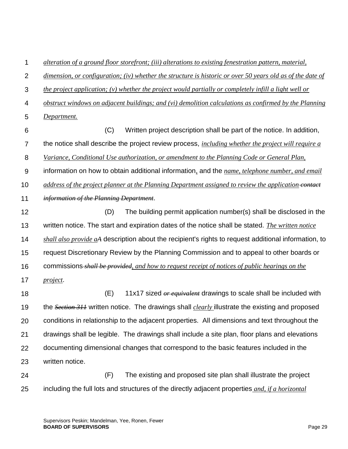1 *alteration of a ground floor storefront; (iii) alterations to existing fenestration pattern, material,* 

 $\mathcal{P}$ *dimension, or configuration; (iv) whether the structure is historic or over 50 years old as of the date of* 

3 *the project application; (v) whether the project would partially or completely infill a light well or* 

4 *obstruct windows on adjacent buildings; and (vi) demolition calculations as confirmed by the Planning* 

5 *Department.*

6 7 8 9 10 11 12 13 14 15 16 17 18 19 20 21 (C) Written project description shall be part of the notice. In addition, the notice shall describe the project review process, *including whether the project will require a Variance, Conditional Use authorization, or amendment to the Planning Code or General Plan,* information on how to obtain additional information*,* and the *name, telephone number, and email address of the project planner at the Planning Department assigned to review the application-contact information of the Planning Department*. (D) The building permit application number(s) shall be disclosed in the written notice. The start and expiration dates of the notice shall be stated. *The written notice shall also provide aA* description about the recipient's rights to request additional information, to request Discretionary Review by the Planning Commission and to appeal to other boards or commissions *shall be provided, and how to request receipt of notices of public hearings on the project*. (E) 11x17 sized *or equivalent* drawings to scale shall be included with the *Section 311* written notice. The drawings shall *clearly* illustrate the existing and proposed conditions in relationship to the adjacent properties. All dimensions and text throughout the drawings shall be legible. The drawings shall include a site plan, floor plans and elevations

22 23 documenting dimensional changes that correspond to the basic features included in the written notice.

24 25 (F) The existing and proposed site plan shall illustrate the project including the full lots and structures of the directly adjacent properties *and, if a horizontal*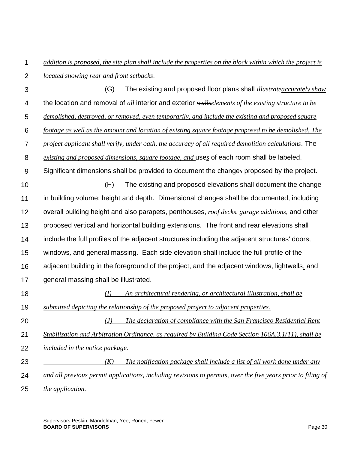1  $\mathcal{P}$ *addition is proposed, the site plan shall include the properties on the block within which the project is located showing rear and front setbacks*.

3 4 5 6 7 8 9 10 11 12 13 14 15 16 17 18 19 20 21 22 23 24 (G) The existing and proposed floor plans shall *illustrateaccurately show* the location and removal of *all* interior and exterior *wallselements of the existing structure to be demolished, destroyed, or removed, even temporarily, and include the existing and proposed square footage as well as the amount and location of existing square footage proposed to be demolished. The project applicant shall verify, under oath, the accuracy of all required demolition calculations*. The *existing and proposed dimensions, square footage, and* use*s* of each room shall be labeled. Significant dimensions shall be provided to document the change*s* proposed by the project. (H) The existing and proposed elevations shall document the change in building volume: height and depth. Dimensional changes shall be documented, including overall building height and also parapets, penthouses*, roof decks, garage additions,* and other proposed vertical and horizontal building extensions. The front and rear elevations shall include the full profiles of the adjacent structures including the adjacent structures' doors, windows*,* and general massing. Each side elevation shall include the full profile of the adjacent building in the foreground of the project, and the adjacent windows, lightwells*,* and general massing shall be illustrated. *(I) An architectural rendering, or architectural illustration, shall be submitted depicting the relationship of the proposed project to adjacent properties. (J) The declaration of compliance with the San Francisco Residential Rent Stabilization and Arbitration Ordinance, as required by Building Code Section 106A.3.1(11), shall be included in the notice package. (K) The notification package shall include a list of all work done under any and all previous permit applications, including revisions to permits, over the five years prior to filing of* 

25 *the application.*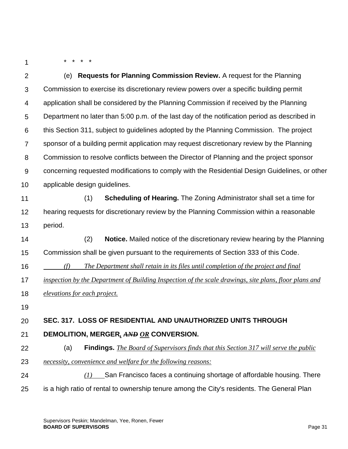1

\* \* \* \*

| $\overline{2}$ | (e) Requests for Planning Commission Review. A request for the Planning                                |
|----------------|--------------------------------------------------------------------------------------------------------|
| $\mathfrak{S}$ | Commission to exercise its discretionary review powers over a specific building permit                 |
| 4              | application shall be considered by the Planning Commission if received by the Planning                 |
| 5              | Department no later than 5:00 p.m. of the last day of the notification period as described in          |
| 6              | this Section 311, subject to guidelines adopted by the Planning Commission. The project                |
| 7              | sponsor of a building permit application may request discretionary review by the Planning              |
| 8              | Commission to resolve conflicts between the Director of Planning and the project sponsor               |
| 9              | concerning requested modifications to comply with the Residential Design Guidelines, or other          |
| 10             | applicable design guidelines.                                                                          |
| 11             | (1)<br><b>Scheduling of Hearing.</b> The Zoning Administrator shall set a time for                     |
| 12             | hearing requests for discretionary review by the Planning Commission within a reasonable               |
| 13             | period.                                                                                                |
|                |                                                                                                        |
| 14             | (2)<br><b>Notice.</b> Mailed notice of the discretionary review hearing by the Planning                |
| 15             | Commission shall be given pursuant to the requirements of Section 333 of this Code.                    |
| 16             | The Department shall retain in its files until completion of the project and final<br>(f)              |
|                | inspection by the Department of Building Inspection of the scale drawings, site plans, floor plans and |
| 17<br>18       | <i>elevations for each project.</i>                                                                    |
| 19             |                                                                                                        |
| 20             | SEC. 317. LOSS OF RESIDENTIAL AND UNAUTHORIZED UNITS THROUGH                                           |
| 21             | DEMOLITION, MERGER, AND OR CONVERSION.                                                                 |
| 22             | (a)<br>Findings. The Board of Supervisors finds that this Section 317 will serve the public            |
| 23             | necessity, convenience and welfare for the following reasons:                                          |
| 24             | San Francisco faces a continuing shortage of affordable housing. There<br>(I)                          |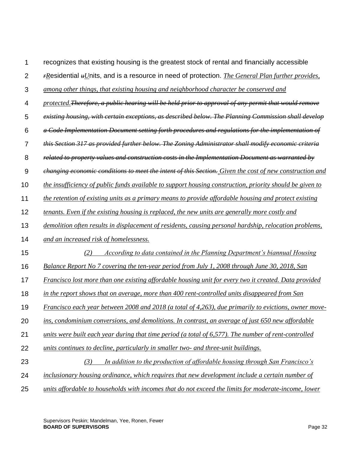| 1              | recognizes that existing housing is the greatest stock of rental and financially accessible                    |
|----------------|----------------------------------------------------------------------------------------------------------------|
| $\overline{2}$ | $r$ Residential $*U$ nits, and is a resource in need of protection. <i>The General Plan further provides</i> , |
| 3              | among other things, that existing housing and neighborhood character be conserved and                          |
| $\overline{4}$ | protected. Therefore, a public hearing will be held prior to approval of any permit that would remove          |
| 5              | existing housing, with certain exceptions, as described below. The Planning Commission shall develop           |
| 6              | a Code Implementation Document setting forth procedures and regulations for the implementation of              |
| $\overline{7}$ | this Section 317 as provided further below. The Zoning Administrator shall modify economic criteria            |
| 8              | related to property values and construction costs in the Implementation Document as warranted by               |
| $9$            | changing economic conditions to meet the intent of this Section. Given the cost of new construction and        |
| 10             | the insufficiency of public funds available to support housing construction, priority should be given to       |
| 11             | the retention of existing units as a primary means to provide affordable housing and protect existing          |
| 12             | tenants. Even if the existing housing is replaced, the new units are generally more costly and                 |
| 13             | demolition often results in displacement of residents, causing personal hardship, relocation problems,         |
| 14             | and an increased risk of homelessness.                                                                         |
| 15             | (2)<br>According to data contained in the Planning Department's biannual Housing                               |
| 16             | Balance Report No 7 covering the ten-year period from July 1, 2008 through June 30, 2018, San                  |
| 17             | Francisco lost more than one existing affordable housing unit for every two it created. Data provided          |
| 18             | in the report shows that on average, more than 400 rent-controlled units disappeared from San                  |
| 19             | Francisco each year between 2008 and 2018 (a total of 4,263), due primarily to evictions, owner move-          |
| 20             | ins, condominium conversions, and demolitions. In contrast, an average of just 650 new affordable              |
| 21             | units were built each year during that time period (a total of 6,577). The number of rent-controlled           |
| 22             | units continues to decline, particularly in smaller two- and three-unit buildings.                             |
| 23             | (3)<br>In addition to the production of affordable housing through San Francisco's                             |
| 24             | inclusionary housing ordinance, which requires that new development include a certain number of                |
| 25             | units affordable to households with incomes that do not exceed the limits for moderate-income, lower           |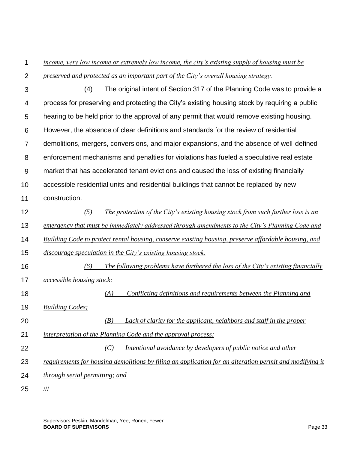### 1 *income, very low income or extremely low income, the city's existing supply of housing must be*

- $\mathcal{P}$ *preserved and protected as an important part of the City's overall housing strategy.*
- 3 4 5 6 7 8 9 10 11 12 13 14 15 16 17 18 19 20 21 22 23 24 25 (4) The original intent of Section 317 of the Planning Code was to provide a process for preserving and protecting the City's existing housing stock by requiring a public hearing to be held prior to the approval of any permit that would remove existing housing. However, the absence of clear definitions and standards for the review of residential demolitions, mergers, conversions, and major expansions, and the absence of well-defined enforcement mechanisms and penalties for violations has fueled a speculative real estate market that has accelerated tenant evictions and caused the loss of existing financially accessible residential units and residential buildings that cannot be replaced by new construction. *(5) The protection of the City's existing housing stock from such further loss is an emergency that must be immediately addressed through amendments to the City's Planning Code and Building Code to protect rental housing, conserve existing housing, preserve affordable housing, and discourage speculation in the City's existing housing stock. (6) The following problems have furthered the loss of the City's existing financially accessible housing stock: (A) Conflicting definitions and requirements between the Planning and Building Codes; (B) Lack of clarity for the applicant, neighbors and staff in the proper interpretation of the Planning Code and the approval process; (C) Intentional avoidance by developers of public notice and other requirements for housing demolitions by filing an application for an alteration permit and modifying it through serial permitting; and* ///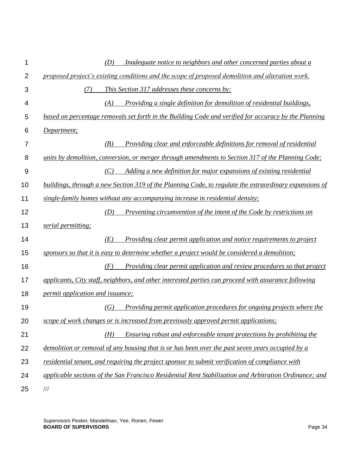| 1              |                                         | (D) | Inadequate notice to neighbors and other concerned parties about a                                     |
|----------------|-----------------------------------------|-----|--------------------------------------------------------------------------------------------------------|
| $\overline{2}$ |                                         |     | proposed project's existing conditions and the scope of proposed demolition and alteration work.       |
| 3              | (7)                                     |     | This Section 317 addresses these concerns by:                                                          |
| 4              |                                         | (A) | Providing a single definition for demolition of residential buildings,                                 |
| 5              |                                         |     | based on percentage removals set forth in the Building Code and verified for accuracy by the Planning  |
| 6              | Department;                             |     |                                                                                                        |
| 7              |                                         | (B) | Providing clear and enforceable definitions for removal of residential                                 |
| 8              |                                         |     | units by demolition, conversion, or merger through amendments to Section 317 of the Planning Code;     |
| 9              |                                         | (C) | Adding a new definition for major expansions of existing residential                                   |
| 10             |                                         |     | buildings, through a new Section 319 of the Planning Code, to regulate the extraordinary expansions of |
| 11             |                                         |     | single-family homes without any accompanying increase in residential density;                          |
| 12             |                                         | (D) | Preventing circumvention of the intent of the Code by restrictions on                                  |
| 13             | serial permitting;                      |     |                                                                                                        |
| 14             |                                         | (E) | <i>Providing clear permit application and notice requirements to project</i>                           |
| 15             |                                         |     | sponsors so that it is easy to determine whether a project would be considered a demolition;           |
| 16             |                                         | (F) | Providing clear permit application and review procedures so that project                               |
| 17             |                                         |     | applicants, City staff, neighbors, and other interested parties can proceed with assurance following   |
| 18             | <i>permit application and issuance;</i> |     |                                                                                                        |
| 19             |                                         | (G) | Providing permit application procedures for ongoing projects where the                                 |
| 20             |                                         |     | scope of work changes or is increased from previously approved permit applications;                    |
| 21             |                                         | (H) | Ensuring robust and enforceable tenant protections by prohibiting the                                  |
| 22             |                                         |     | demolition or removal of any housing that is or has been over the past seven years occupied by a       |
| 23             |                                         |     | residential tenant, and requiring the project sponsor to submit verification of compliance with        |
| 24             |                                         |     | applicable sections of the San Francisco Residential Rent Stabilization and Arbitration Ordinance; and |
| 25             | $/ \! / \! /$                           |     |                                                                                                        |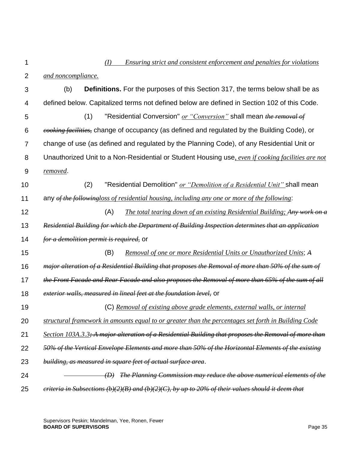1

## *(I) Ensuring strict and consistent enforcement and penalties for violations*

- $\mathfrak{p}$ *and noncompliance.*
- 3 4 5 6 7 8 9 10 11 12 13 14 15 16 17 18 19 20 21 22 23 24 25 (b) **Definitions.** For the purposes of this Section 317, the terms below shall be as defined below. Capitalized terms not defined below are defined in Section 102 of this Code. (1) "Residential Conversion" *or "Conversion"* shall mean *the removal of cooking facilities,* change of occupancy (as defined and regulated by the Building Code), or change of use (as defined and regulated by the Planning Code), of any Residential Unit or Unauthorized Unit to a Non-Residential or Student Housing use*, even if cooking facilities are not removed*. (2) "Residential Demolition" *or "Demolition of a Residential Unit"* shall mean any *of the followingloss of residential housing, including any one or more of the following*: (A) *The total tearing down of an existing Residential Building; Any work on a Residential Building for which the Department of Building Inspection determines that an application for a demolition permit is required,* or (B) *Removal of one or more Residential Units or Unauthorized Units*; *A major alteration of a Residential Building that proposes the Removal of more than 50% of the sum of the Front Facade and Rear Facade and also proposes the Removal of more than 65% of the sum of all exterior walls, measured in lineal feet at the foundation level,* or (C) *Removal of existing above grade elements, external walls, or internal structural framework in amounts equal to or greater than the percentages set forth in Building Code Section 103A.3.3; A major alteration of a Residential Building that proposes the Removal of more than 50% of the Vertical Envelope Elements and more than 50% of the Horizontal Elements of the existing building, as measured in square feet of actual surface area*. *(D) The Planning Commission may reduce the above numerical elements of the criteria in Subsections (b)(2)(B) and (b)(2)(C), by up to 20% of their values should it deem that*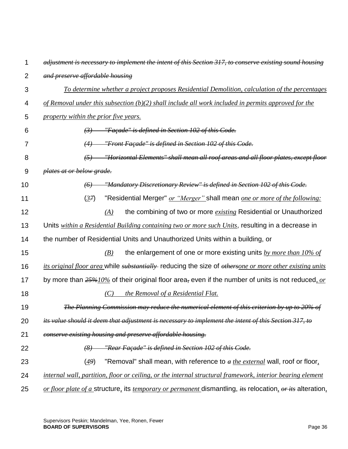| 1              | adjustment is necessary to implement the intent of this Section 317, to conserve existing sound housing          |
|----------------|------------------------------------------------------------------------------------------------------------------|
| $\overline{2}$ | and preserve affordable housing                                                                                  |
| 3              | <u>To determine whether a project proposes Residential Demolition, calculation of the percentages</u>            |
| 4              | of Removal under this subsection $(b)(2)$ shall include all work included in permits approved for the            |
| 5              | property within the prior five years.                                                                            |
| 6              | $(3)$ "Façade" is defined in Section 102 of this Code.                                                           |
| 7              | "Front Façade" is defined in Section 102 of this Code.<br>(4)                                                    |
| 8              | (5) "Horizontal Elements" shall mean all roof areas and all floor plates, except floor                           |
| 9              | plates at or below grade.                                                                                        |
| 10             | "Mandatory Discretionary Review" is defined in Section 102 of this Code.<br>(6)                                  |
| 11             | "Residential Merger" or "Merger" shall mean one or more of the following:<br>(37)                                |
| 12             | the combining of two or more <i>existing</i> Residential or Unauthorized<br>(A)                                  |
| 13             | Units within a Residential Building containing two or more such Units, resulting in a decrease in                |
| 14             | the number of Residential Units and Unauthorized Units within a building, or                                     |
| 15             | the enlargement of one or more existing units $by$ more than $10\%$ of<br>(B)                                    |
| 16             | its original floor area while substantially reducing the size of othersone or more other existing units          |
| 17             | by more than $25\frac{40\%}{6}$ of their original floor area, even if the number of units is not reduced, or     |
| 18             | the Removal of a Residential Flat.<br>(C)                                                                        |
| 19             | The Planning Commission may reduce the numerical element of this criterion by up to 20% of                       |
| 20             | its value should it deem that adjustment is necessary to implement the intent of this Section 317, to            |
| 21             | conserve existing housing and preserve affordable housing.                                                       |
| 22             | "Rear Façade" is defined in Section 102 of this Code.<br>(8)                                                     |
| 23             | "Removal" shall mean, with reference to a the external wall, roof or floor,<br>(49)                              |
| 24             | internal wall, partition, floor or ceiling, or the internal structural framework, interior bearing element       |
| 25             | or floor plate of a structure, its <i>temporary or permanent</i> dismantling, its relocation, or its alteration, |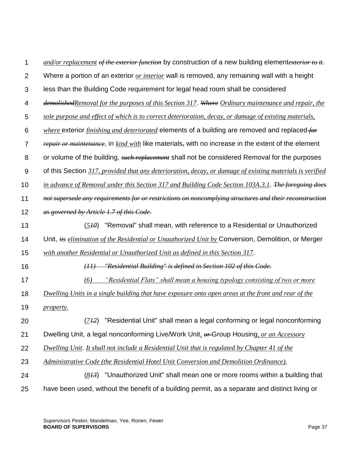| 1              | and/or replacement of the exterior function by construction of a new building elementexterior to it.        |
|----------------|-------------------------------------------------------------------------------------------------------------|
| $\overline{2}$ | Where a portion of an exterior or <i>interior</i> wall is removed, any remaining wall with a height         |
| 3              | less than the Building Code requirement for legal head room shall be considered                             |
| 4              | demolished Removal for the purposes of this Section 317. Where Ordinary maintenance and repair, the         |
| 5              | sole purpose and effect of which is to correct deterioration, decay, or damage of existing materials,       |
| 6              | <i>where</i> exterior <i>finishing and deteriorated</i> elements of a building are removed and replaced for |
| 7              | repair or maintenance, in kind with like materials, with no increase in the extent of the element           |
| 8              | or volume of the building, such replacement shall not be considered Removal for the purposes                |
| 9              | of this Section 317, provided that any deterioration, decay, or damage of existing materials is verified    |
| 10             | in advance of Removal under this Section 317 and Building Code Section 103A.3.1. The foregoing does         |
| 11             | not supersede any requirements for or restrictions on noncomplying structures and their reconstruction      |
| 12             | as governed by Article 1.7 of this Code.                                                                    |
| 13             | "Removal" shall mean, with reference to a Residential or Unauthorized<br>(5H <sub>0</sub> )                 |
| 14             | Unit, <i>its elimination of the Residential or Unauthorized Unit by</i> Conversion, Demolition, or Merger   |
| 15             | with another Residential or Unauthorized Unit as defined in this Section 317.                               |
| 16             | "Residential Building" is defined in Section 102 of this Code.<br>(11)                                      |
| 17             | "Residential Flats" shall mean a housing typology consisting of two or more<br>(6)                          |
| 18             | Dwelling Units in a single building that have exposure onto open areas at the front and rear of the         |
| 19             | <i>property.</i>                                                                                            |
| 20             | "Residential Unit" shall mean a legal conforming or legal nonconforming<br>(712)                            |
| 21             | Dwelling Unit, a legal nonconforming Live/Work Unit, $\theta r$ -Group Housing, or an Accessory             |
| 22             | <b>Dwelling Unit.</b> It shall not include a Residential Unit that is regulated by Chapter 41 of the        |
| 23             | Administrative Code (the Residential Hotel Unit Conversion and Demolition Ordinance).                       |
| 24             | "Unauthorized Unit" shall mean one or more rooms within a building that<br>(8H)                             |
| 25             | have been used, without the benefit of a building permit, as a separate and distinct living or              |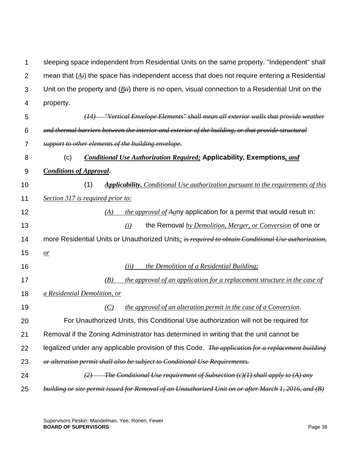1 2 3 4 sleeping space independent from Residential Units on the same property. "Independent" shall mean that (*Ai*) the space has independent access that does not require entering a Residential Unit on the property and (*Bii*) there is no open, visual connection to a Residential Unit on the property.

| 5              | $(14)$ "Vertical Envelope Elements" shall mean all exterior walls that provide weather                                                  |
|----------------|-----------------------------------------------------------------------------------------------------------------------------------------|
| 6              | and thermal barriers between the interior and exterior of the building, or that provide structural                                      |
| $\overline{7}$ | support to other elements of the building envelope.                                                                                     |
| 8              | <b>Conditional Use Authorization Required; Applicability, Exemptions, and</b><br>(c)                                                    |
| 9              | <b>Conditions of Approval.</b>                                                                                                          |
| 10             | (1)<br><b>Applicability.</b> Conditional Use authorization pursuant to the requirements of this                                         |
| 11             | Section 317 is required prior to:                                                                                                       |
| 12             | the approval of Aany application for a permit that would result in:<br>(A)                                                              |
| 13             | the Removal by Demolition, Merger, or Conversion of one or<br>(i)                                                                       |
| 14             | more Residential Units or Unauthorized Units; is required to obtain Conditional Use authorization,                                      |
| 15             | $\mathbf{r}$                                                                                                                            |
| 16             | the Demolition of a Residential Building;<br>(ii)                                                                                       |
| 17             | the approval of an application for a replacement structure in the case of<br>(B)                                                        |
| 18             | a Residential Demolition, or                                                                                                            |
| 19             | the approval of an alteration permit in the case of a Conversion.<br>(C)                                                                |
| 20             | For Unauthorized Units, this Conditional Use authorization will not be required for                                                     |
| 21             | Removal if the Zoning Administrator has determined in writing that the unit cannot be                                                   |
| 22             | legalized under any applicable provision of this Code. <i>The application for a replacement building</i>                                |
| 23             | or alteration permit shall also be subject to Conditional Use Requirements.                                                             |
| 24             | $\left(2\right)$ The Conditional Use requirement of Subsection $\left(\frac{c}{l}\right)$ shall apply to $\left(\frac{A}{l}\right)$ any |
| 25             | building or site permit issued for Removal of an Unauthorized Unit on or after March 1, 2016, and (B)                                   |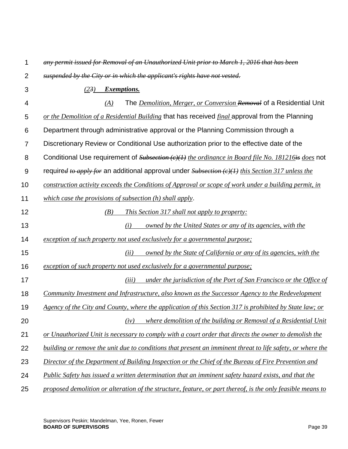| 1              | any permit issued for Removal of an Unauthorized Unit prior to March 1, 2016 that has been                     |
|----------------|----------------------------------------------------------------------------------------------------------------|
| $\overline{2}$ | suspended by the City or in which the applicant's rights have not vested.                                      |
| 3              | <b>Exemptions.</b><br>(23)                                                                                     |
| 4              | The <i>Demolition, Merger, or Conversion Removal</i> of a Residential Unit<br>(A)                              |
| 5              | or the Demolition of a Residential Building that has received final approval from the Planning                 |
| 6              | Department through administrative approval or the Planning Commission through a                                |
| 7              | Discretionary Review or Conditional Use authorization prior to the effective date of the                       |
| 8              | Conditional Use requirement of $Subsection (c)(1)$ the ordinance in Board file No. 181216 is does not          |
| 9              | required to apply for an additional approval under $Subsection (c)(1)$ this Section 317 unless the             |
| 10             | construction activity exceeds the Conditions of Approval or scope of work under a building permit, in          |
| 11             | which case the provisions of subsection $(h)$ shall apply.                                                     |
| 12             | (B)<br><i>This Section 317 shall not apply to property:</i>                                                    |
| 13             | owned by the United States or any of its agencies, with the<br>(i)                                             |
| 14             | exception of such property not used exclusively for a governmental purpose;                                    |
| 15             | owned by the State of California or any of its agencies, with the<br>(ii)                                      |
| 16             | exception of such property not used exclusively for a governmental purpose;                                    |
| 17             | under the jurisdiction of the Port of San Francisco or the Office of<br>(iii)                                  |
| 18             | Community Investment and Infrastructure, also known as the Successor Agency to the Redevelopment               |
| 19             | <u>Agency of the City and County, where the application of this Section 317 is prohibited by State law; or</u> |
| 20             | where demolition of the building or Removal of a Residential Unit<br>(iv)                                      |
| 21             | or Unauthorized Unit is necessary to comply with a court order that directs the owner to demolish the          |
| 22             | building or remove the unit due to conditions that present an imminent threat to life safety, or where the     |
| 23             | Director of the Department of Building Inspection or the Chief of the Bureau of Fire Prevention and            |
| 24             | Public Safety has issued a written determination that an imminent safety hazard exists, and that the           |
| 25             | proposed demolition or alteration of the structure, feature, or part thereof, is the only feasible means to    |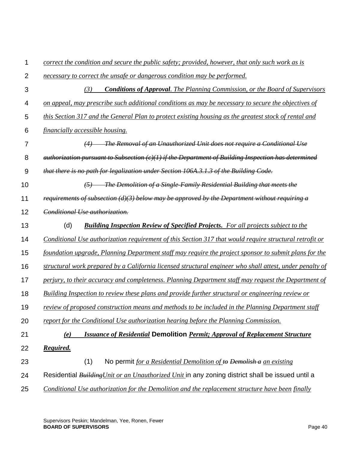| 1               | correct the condition and secure the public safety; provided, however, that only such work as is         |
|-----------------|----------------------------------------------------------------------------------------------------------|
| $\overline{2}$  | necessary to correct the unsafe or dangerous condition may be performed.                                 |
| 3               | <b>Conditions of Approval.</b> The Planning Commission, or the Board of Supervisors<br>(3)               |
| 4               | on appeal, may prescribe such additional conditions as may be necessary to secure the objectives of      |
| 5               | this Section 317 and the General Plan to protect existing housing as the greatest stock of rental and    |
| $6\phantom{1}6$ | financially accessible housing.                                                                          |
| 7               | (4) The Removal of an Unauthorized Unit does not require a Conditional Use                               |
| 8               | $a$ uthorization pursuant to Subsection $(e)(1)$ if the Department of Building Inspection has determined |
| 9               | that there is no path for legalization under Section 106A.3.1.3 of the Building Code.                    |
| 10              | $(5)$ The Demolition of a Single-Family Residential Building that meets the                              |
| 11              | requirements of subsection $(d)(3)$ below may be approved by the Department without requiring a          |
| 12              | Conditional Use authorization.                                                                           |
| 13              | (d)<br><b>Building Inspection Review of Specified Projects.</b> For all projects subject to the          |
| 14              | Conditional Use authorization requirement of this Section 317 that would require structural retrofit or  |
| 15              | foundation upgrade, Planning Department staff may require the project sponsor to submit plans for the    |
| 16              | structural work prepared by a California licensed structural engineer who shall attest, under penalty of |
| 17              | perjury, to their accuracy and completeness. Planning Department staff may request the Department of     |
| 18              | Building Inspection to review these plans and provide further structural or engineering review or        |
| 19              | review of proposed construction means and methods to be included in the Planning Department staff        |
| 20              | report for the Conditional Use authorization hearing before the Planning Commission.                     |
| 21              | <b>Issuance of Residential Demolition Permit; Approval of Replacement Structure</b><br>(e)               |
| 22              | Required.                                                                                                |
| 23              | (1)<br>No permit for a Residential Demolition of to Demolish a an existing                               |
| 24              | Residential <b>Building Unit or an Unauthorized Unit</b> in any zoning district shall be issued until a  |
| 25              | Conditional Use authorization for the Demolition and the replacement structure have been finally         |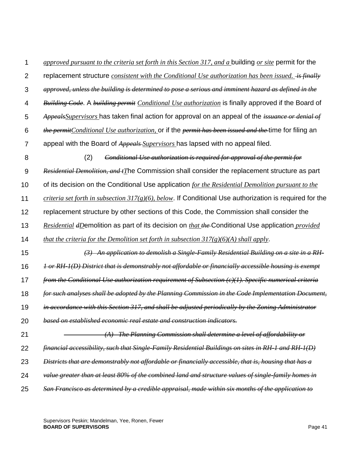| 1              | approved pursuant to the criteria set forth in this Section 317, and a building or site permit for the              |
|----------------|---------------------------------------------------------------------------------------------------------------------|
| $\overline{2}$ | replacement structure <i>consistent with the Conditional Use authorization has been issued.</i> is finally          |
| 3              | approved, unless the building is determined to pose a serious and imminent hazard as defined in the                 |
| 4              | <b>Building Code.</b> A building permit Conditional Use authorization is finally approved if the Board of           |
| 5              | Appeals Supervisors has taken final action for approval on an appeal of the issuance or denial of                   |
| 6              | <i>the permitConditional Use authorization</i> , or if the <i>permit has been issued and the</i> time for filing an |
| 7              | appeal with the Board of Appeals Supervisors has lapsed with no appeal filed.                                       |
| 8              | (2)<br>Conditional Use authorization is required for approval of the permit for                                     |
| 9              | Residential Demolition, and tThe Commission shall consider the replacement structure as part                        |
| 10             | of its decision on the Conditional Use application for the Residential Demolition pursuant to the                   |
| 11             | criteria set forth in subsection $317(g)(6)$ , below. If Conditional Use authorization is required for the          |
| 12             | replacement structure by other sections of this Code, the Commission shall consider the                             |
| 13             | Residential dDemolition as part of its decision on that the Conditional Use application <i>provided</i>             |
| 14             | that the criteria for the Demolition set forth in subsection $317(g)(6)(A)$ shall apply.                            |
| 15             | $(3)$ An application to demolish a Single-Family Residential Building on a site in a RH-                            |
| 16             | $1$ or RH- $I(D)$ District that is demonstrably not affordable or financially accessible housing is exempt          |
| 17             | from the Conditional Use authorization requirement of Subsection $(e)(1)$ . Specific numerical criteria             |
| 18             | for such analyses shall be adopted by the Planning Commission in the Code Implementation Document,                  |
| 19             | in accordance with this Section 317, and shall be adjusted periodically by the Zoning Administrator                 |
| 20             | based on established economic real estate and construction indicators.                                              |
| 21             | <b>The Planning Commission shall determine a level of affordability or</b><br>(A)                                   |
| 22             | financial accessibility, such that Single-Family Residential Buildings on sites in RH-1 and RH-1(D)                 |
| 23             | Districts that are demonstrably not affordable or financially accessible, that is, housing that has a               |
| 24             | value greater than at least 80% of the combined land and structure values of single-family homes in                 |
| 25             | San Francisco as determined by a credible appraisal, made within six months of the application to                   |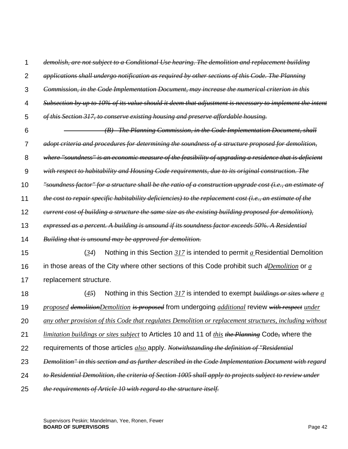| 1              | demolish, are not subject to a Conditional Use hearing. The demolition and replacement building                |
|----------------|----------------------------------------------------------------------------------------------------------------|
| $\overline{2}$ | applications shall undergo notification as required by other sections of this Code. The Planning               |
| 3              | Commission, in the Code Implementation Document, may increase the numerical criterion in this                  |
| 4              | Subsection by up to 10% of its value should it deem that adjustment is necessary to implement the intent       |
| 5              | of this Section 317, to conserve existing housing and preserve affordable housing.                             |
| 6              | (B) The Planning Commission, in the Code Implementation Document, shall                                        |
| 7              | adopt criteria and procedures for determining the soundness of a structure proposed for demolition,            |
| 8              | where "soundness" is an economic measure of the feasibility of upgrading a residence that is deficient         |
| 9              | with respect to habitability and Housing Code requirements, due to its original construction. The              |
| 10             | "soundness factor" for a structure shall be the ratio of a construction upgrade cost (i.e., an estimate of     |
| 11             | the cost to repair specific habitability deficiencies) to the replacement cost (i.e., an estimate of the       |
| 12             | eurrent cost of building a structure the same size as the existing building proposed for demolition),          |
| 13             | expressed as a percent. A building is unsound if its soundness factor exceeds 50%. A Residential               |
| 14             | Building that is unsound may be approved for demolition.                                                       |
| 15             | (34)<br>Nothing in this Section $317$ is intended to permit $a$ Residential Demolition                         |
| 16             | in those areas of the City where other sections of this Code prohibit such $d$ Demolition or $\underline{a}$   |
| 17             | replacement structure.                                                                                         |
| 18             | (45)<br>Nothing in this Section $317$ is intended to exempt buildings or sites where $a$                       |
| 19             | proposed demolition Demolition is proposed from undergoing additional review with respect under                |
| 20             | any other provision of this Code that regulates Demolition or replacement structures, including without        |
| 21             | <i>limitation buildings or sites subject</i> to Articles 10 and 11 of <i>this the Planning</i> Code, where the |
| 22             | requirements of those articles <i>also</i> apply. Notwithstanding the definition of "Residential               |
| 23             | Demolition" in this section and as further described in the Code Implementation Document with regard           |
| 24             | to Residential Demolition, the criteria of Section 1005 shall apply to projects subject to review under        |
| 25             | the requirements of Article 10 with regard to the structure itself.                                            |

Supervisors Peskin; Mandelman, Yee, Ronen, Fewer **BOARD OF SUPERVISORS** Page 42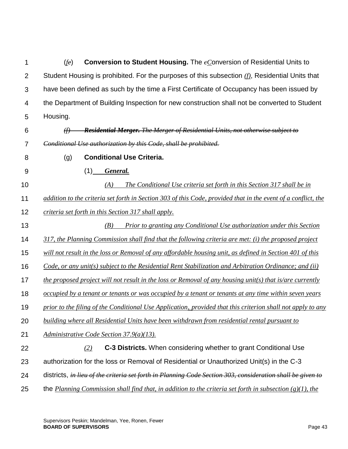1  $\mathcal{P}$ 3 4 5 (*fe*) **Conversion to Student Housing.** The *cC*onversion of Residential Units to Student Housing is prohibited. For the purposes of this subsection *(f)*, Residential Units that have been defined as such by the time a First Certificate of Occupancy has been issued by the Department of Building Inspection for new construction shall not be converted to Student Housing.

6

*(f) Residential Merger. The Merger of Residential Units, not otherwise subject to Conditional Use authorization by this Code, shall be prohibited.*

8

7

(g) **Conditional Use Criteria.**

9

(1) *General.*

10 11 12 *(A) The Conditional Use criteria set forth in this Section 317 shall be in addition to the criteria set forth in Section 303 of this Code, provided that in the event of a conflict, the criteria set forth in this Section 317 shall apply.*

13 14 *(B) Prior to granting any Conditional Use authorization under this Section 317, the Planning Commission shall find that the following criteria are met: (i) the proposed project* 

15 *will not result in the loss or Removal of any affordable housing unit, as defined in Section 401 of this* 

16 *Code, or any unit(s) subject to the Residential Rent Stabilization and Arbitration Ordinance; and (ii)* 

17 *the proposed project will not result in the loss or Removal of any housing unit(s) that is/are currently* 

18 *occupied by a tenant or tenants or was occupied by a tenant or tenants at any time within seven years* 

19 *prior to the filing of the Conditional Use Application*, *provided that this criterion shall not apply to any* 

- 20 *building where all Residential Units have been withdrawn from residential rental pursuant to*
- 21 *Administrative Code Section 37.9(a)(13).*
- 22 *(2)* **C-3 Districts.** When considering whether to grant Conditional Use
- 23 authorization for the loss or Removal of Residential or Unauthorized Unit(s) in the C-3
- 24 districts, *in lieu of the criteria set forth in Planning Code Section 303, consideration shall be given to*
- 25 the *Planning Commission shall find that, in addition to the criteria set forth in subsection (g)(1), the*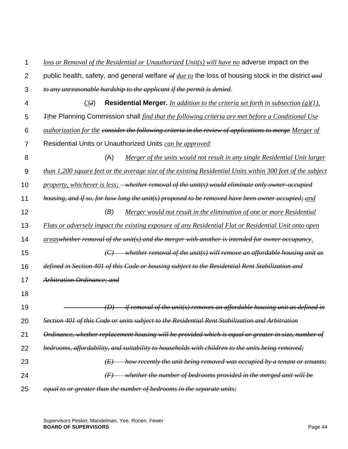| 1              | loss or Removal of the Residential or Unauthorized Unit(s) will have no adverse impact on the                               |
|----------------|-----------------------------------------------------------------------------------------------------------------------------|
| $\overline{2}$ | public health, safety, and general welfare $\frac{\partial f}{\partial u}$ the loss of housing stock in the district-and    |
| 3              | to any unreasonable hardship to the applicant if the permit is denied.                                                      |
| 4              | (32)<br><b>Residential Merger.</b> In addition to the criteria set forth in subsection $(g)(1)$ ,                           |
| 5              | <i>F</i> <sub>t</sub> he Planning Commission shall <i>find that the following criteria are met before a Conditional Use</i> |
| 6              | <i>authorization for the consider the following criteria in the review of applications to merge Merger of</i>               |
| $\overline{7}$ | Residential Units or Unauthorized Units can be approved:                                                                    |
| 8              | (A)<br><u>Merger of the units would not result in any single Residential Unit larger</u>                                    |
| 9              | than 1,200 square feet or the average size of the existing Residential Units within 300 feet of the subject                 |
| 10             | property, whichever is less; <del>whether removal of the unit(s) would eliminate only owner-occupied</del>                  |
| 11             | housing, and if so, for how long the unit(s) proposed to be removed have been owner occupied; and                           |
| 12             | (B)<br>Merger would not result in the elimination of one or more Residential                                                |
| 13             | Flats or adversely impact the existing exposure of any Residential Flat or Residential Unit onto open                       |
| 14             | areaswhether removal of the unit(s) and the merger with another is intended for owner occupancy.                            |
| 15             | $\langle C \rangle$ whether removal of the unit(s) will remove an affordable housing unit as                                |
| 16             | defined in Section 401 of this Code or housing subject to the Residential Rent Stabilization and                            |
| 17             | Arbitration Ordinance; and                                                                                                  |
| 18             |                                                                                                                             |
| 19             | if removal of the unit(s) removes an affordable housing unit as defined in<br>$\langle D \rangle$                           |
| 20             | Section 401 of this Code or units subject to the Residential Rent Stabilization and Arbitration                             |
| 21             | Ordinance, whether replacement housing will be provided which is equal or greater in size, number of                        |
| 22             | bedrooms, affordability, and suitability to households with children to the units being removed;                            |
| 23             | how recently the unit being removed was occupied by a tenant or tenants;<br>(E)                                             |
| 24             | whether the number of bedrooms provided in the merged unit will be<br>$\leftrightarrow$                                     |
| 25             | equal to or greater than the number of bedrooms in the separate units;                                                      |

Supervisors Peskin; Mandelman, Yee, Ronen, Fewer **BOARD OF SUPERVISORS** Page 44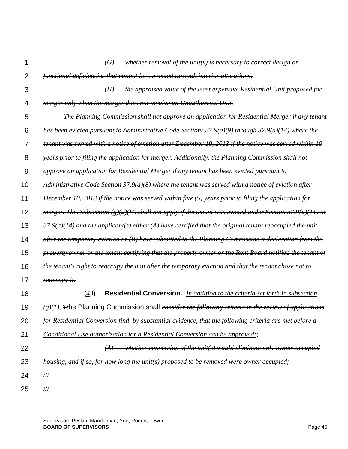| 1              | $(G)$ whether removal of the unit(s) is necessary to correct design or                                                  |
|----------------|-------------------------------------------------------------------------------------------------------------------------|
| $\overline{2}$ | functional deficiencies that cannot be corrected through interior alterations;                                          |
| 3              | the appraised value of the least expensive Residential Unit proposed for<br>(H)                                         |
| 4              | merger only when the merger does not involve an Unauthorized Unit.                                                      |
| 5              | The Planning Commission shall not approve an application for Residential Merger if any tenant                           |
| 6              | has been evicted pursuant to Administrative Code Sections $37.9(a)(9)$ through $37.9(a)(14)$ where the                  |
| 7              | tenant was served with a notice of eviction after December 10, 2013 if the notice was served within 10                  |
| 8              | years prior to filing the application for merger. Additionally, the Planning Commission shall not                       |
| 9              | <del>approve an application for Residential Merger if any tenant has been evicted pursuant to</del>                     |
| 10             | Administrative Code Section 37.9(a)(8) where the tenant was served with a notice of eviction after                      |
| 11             | December 10, 2013 if the notice was served within five (5) years prior to filing the application for                    |
| 12             | merger. This Subsection (g)(2)(H) shall not apply if the tenant was evicted under Section 37.9(a)(11) or                |
| 13             | $37.9(a)(14)$ and the applicant(s) either (A) have certified that the original tenant reoccupied the unit               |
| 14             | after the temporary eviction or (B) have submitted to the Planning Commission a declaration from the                    |
| 15             | property owner or the tenant certifying that the property owner or the Rent Board notified the tenant of                |
| 16             | the tenant's right to reoccupy the unit after the temporary eviction and that the tenant chose not to                   |
| 17             | <del>reoccupy it.</del>                                                                                                 |
| 18             | (43)<br>Residential Conversion. In addition to the criteria set forth in subsection                                     |
| 19             | (g)(1), <sub>Tt</sub> he Planning Commission shall <i>consider the following criteria in the review of applications</i> |
| 20             | for Residential Conversion-find, by substantial evidence, that the following criteria are met before a                  |
| 21             | Conditional Use authorization for a Residential Conversion can be approved:                                             |
| 22             | whether conversion of the unit(s) would eliminate only owner-occupied                                                   |
| 23             | housing, and if so, for how long the unit(s) proposed to be removed were owner occupied;                                |
| 24             | $/\!/ \!/$                                                                                                              |
| 25             | $/\!/ \!/$                                                                                                              |

Supervisors Peskin; Mandelman, Yee, Ronen, Fewer **BOARD OF SUPERVISORS** Page 45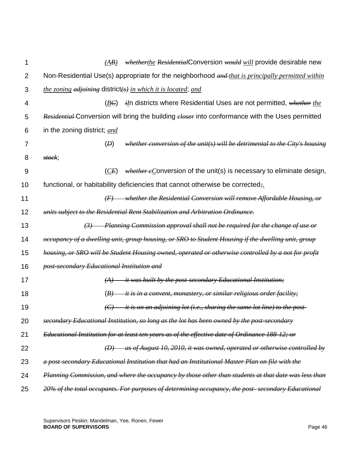| 1              | whetherthe ResidentialConversion would will provide desirable new<br>(AB)                                  |
|----------------|------------------------------------------------------------------------------------------------------------|
| $\overline{2}$ | Non-Residential Use(s) appropriate for the neighborhood and that is principally permitted within           |
| 3              | <i>the zoning adjoining</i> district( $s$ ) in which it is located; and                                    |
| 4              | <i>iIn</i> districts where Residential Uses are not permitted, whether the<br>(BE)                         |
| 5              | Residential Conversion will bring the building closer into conformance with the Uses permitted             |
| 6              | in the zoning district; and                                                                                |
| 7              | (D)<br>whether conversion of the unit(s) will be detrimental to the City's housing                         |
| 8              | stock;                                                                                                     |
| 9              | <i>whether eConversion of the unit(s) is necessary to eliminate design,</i><br>(CE)                        |
| 10             | functional, or habitability deficiencies that cannot otherwise be corrected.                               |
| 11             | $(F)$ whether the Residential Conversion will remove Affordable Housing, or                                |
| 12             | units subject to the Residential Rent Stabilization and Arbitration Ordinance.                             |
| 13             | $(3)$ Planning Commission approval shall not be required for the change of use or                          |
| 14             | occupancy of a dwelling unit, group housing, or SRO to Student Housing if the dwelling unit, group         |
| 15             | housing, or SRO will be Student Housing owned, operated or otherwise controlled by a not for profit        |
| 16             | post-secondary Educational Institution and                                                                 |
| 17             | <i>it was built by the post-secondary Educational Institution;</i><br>(A)                                  |
| 18             | it is in a convent, monastery, or similar religious order facility;<br>(B)                                 |
| 19             | <i>it is on an adjoining lot (i.e., sharing the same lot line) to the post-</i><br>$\left(\epsilon\right)$ |
| 20             | secondary Educational Institution, so long as the lot has been owned by the post-secondary                 |
| 21             | Educational Institution for at least ten years as of the effective date of Ordinance 188-12; or            |
| 22             | as of August 10, 2010, it was owned, operated or otherwise controlled by                                   |
| 23             | a post-secondary Educational Institution that had an Institutional Master Plan on file with the            |
| 24             | Planning Commission, and where the occupancy by those other than students at that date was less than       |
| 25             | 20% of the total occupants. For purposes of determining occupancy, the post-secondary Educational          |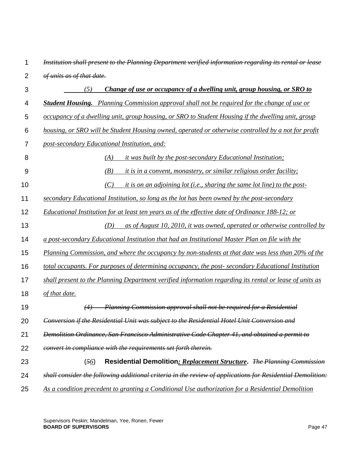| 1              | Institution shall present to the Planning Department verified information regarding its rental or lease    |
|----------------|------------------------------------------------------------------------------------------------------------|
| $\overline{2}$ | of units as of that date.                                                                                  |
| 3              | Change of use or occupancy of a dwelling unit, group housing, or SRO to<br>(5)                             |
| 4              | <b>Student Housing.</b> Planning Commission approval shall not be required for the change of use or        |
| 5              | occupancy of a dwelling unit, group housing, or SRO to Student Housing if the dwelling unit, group         |
| 6              | housing, or SRO will be Student Housing owned, operated or otherwise controlled by a not for profit        |
| 7              | post-secondary Educational Institution, and:                                                               |
| 8              | it was built by the post-secondary Educational Institution;<br>(A)                                         |
| 9              | (B)<br><i>it is in a convent, monastery, or similar religious order facility;</i>                          |
| 10             | (C)<br>it is on an adjoining lot (i.e., sharing the same lot line) to the post-                            |
| 11             | secondary Educational Institution, so long as the lot has been owned by the post-secondary                 |
| 12             | Educational Institution for at least ten years as of the effective date of Ordinance 188-12; or            |
| 13             | (D)<br>as of August 10, 2010, it was owned, operated or otherwise controlled by                            |
| 14             | a post-secondary Educational Institution that had an Institutional Master Plan on file with the            |
| 15             | Planning Commission, and where the occupancy by non-students at that date was less than 20% of the         |
| 16             | total occupants. For purposes of determining occupancy, the post-secondary Educational Institution         |
| 17             | shall present to the Planning Department verified information regarding its rental or lease of units as    |
| 18             | of that date.                                                                                              |
| 19             | Planning Commission approval shall not be required for a Residential                                       |
| 20             | Conversion if the Residential Unit was subject to the Residential Hotel Unit Conversion and                |
| 21             | Demolition Ordinance, San Francisco Administrative Code Chapter 41, and obtained a permit to               |
| 22             | convert in compliance with the requirements set forth therein.                                             |
| 23             | Residential Demolition: Replacement Structure. The Planning Commission<br>(56)                             |
| 24             | shall consider the following additional criteria in the review of applications for Residential Demolition: |
| 25             | As a condition precedent to granting a Conditional Use authorization for a Residential Demolition          |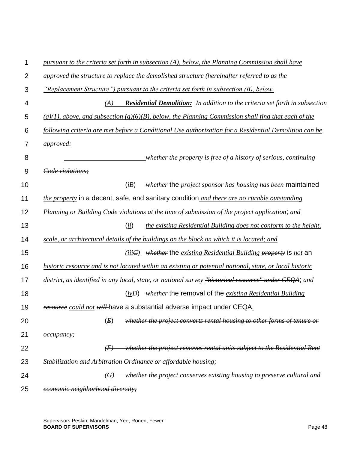| 1              | pursuant to the criteria set forth in subsection (A), below, the Planning Commission shall have           |
|----------------|-----------------------------------------------------------------------------------------------------------|
| $\overline{2}$ | approved the structure to replace the demolished structure (hereinafter referred to as the                |
| 3              | "Replacement Structure") pursuant to the criteria set forth in subsection (B), below.                     |
| 4              | (A)<br><b>Residential Demolition:</b> In addition to the criteria set forth in subsection                 |
| 5              | $(g)(1)$ , above, and subsection $(g)(6)(B)$ , below, the Planning Commission shall find that each of the |
| 6              | following criteria are met before a Conditional Use authorization for a Residential Demolition can be     |
| 7              | <i><u>approved:</u></i>                                                                                   |
| 8              | whether the property is free of a history of serious, continuing                                          |
| 9              | Code violations:                                                                                          |
| 10             | (iB)<br><i>whether</i> the <i>project sponsor has housing has been</i> maintained                         |
| 11             | the property in a decent, safe, and sanitary condition and there are no curable outstanding               |
| 12             | Planning or Building Code violations at the time of submission of the project application; and            |
| 13             | (ii)<br>the existing Residential Building does not conform to the height,                                 |
| 14             | scale, or architectural details of the buildings on the block on which it is located; and                 |
| 15             | $(iiiC)$ whether the existing Residential Building property is not an                                     |
| 16             | historic resource and is not located within an existing or potential national, state, or local historic   |
| 17             | district, as identified in any local, state, or national survey "historical resource" under CEQA; and     |
| 18             | <i>whether</i> -the removal of the <i>existing Residential Building</i><br>(ivD)                          |
| 19             | resource could not will have a substantial adverse impact under CEQA.                                     |
| 20             | (E)<br>whether the project converts rental housing to other forms of tenure or                            |
| 21             | өссирапсу;                                                                                                |
| 22             | whether the project removes rental units subject to the Residential Rent<br>$\langle F \rangle$           |
| 23             | Stabilization and Arbitration Ordinance or affordable housing;                                            |
| 24             | $(G)$ whether the project conserves existing housing to preserve cultural and                             |
| 25             | economic neighborhood diversity;                                                                          |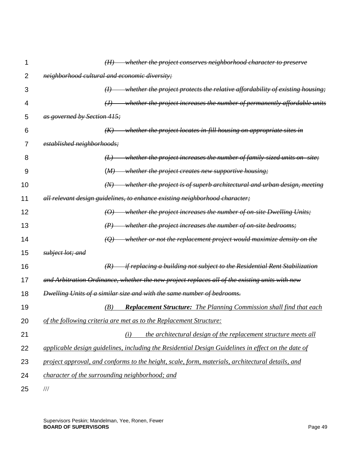|    |                                               | (H)                        | whether the project conserves neighborhood character to preserve                                   |
|----|-----------------------------------------------|----------------------------|----------------------------------------------------------------------------------------------------|
| 2  | neighborhood cultural and economic diversity; |                            |                                                                                                    |
| 3  |                                               | $\theta$                   | whether the project protects the relative affordability of existing housing;                       |
| 4  |                                               | $\left(\frac{1}{2}\right)$ | whether the project increases the number of permanently affordable units                           |
| 5  | as governed by Section 415;                   |                            |                                                                                                    |
| 6  |                                               | (K)                        | whether the project locates in-fill housing on appropriate sites in                                |
| 7  | established neighborhoods;                    |                            |                                                                                                    |
| 8  |                                               | $\left(\frac{L}{L}\right)$ | - whether the project increases the number of family-sized units on-site;                          |
| 9  |                                               | (M)                        | <i>whether the project creates new supportive housing;</i>                                         |
| 10 |                                               | (W)                        | whether the project is of superb architectural and urban design, meeting                           |
| 11 |                                               |                            | all relevant design guidelines, to enhance existing neighborhood character;                        |
| 12 |                                               | $\theta$                   | whether the project increases the number of on-site Dwelling Units;                                |
| 13 |                                               | $\left( P\right)$          | whether the project increases the number of on-site bedrooms;                                      |
| 14 |                                               | $\left(\mathcal{Q}\right)$ | whether or not the replacement project would maximize density on the                               |
| 15 | subject lot; and                              |                            |                                                                                                    |
| 16 |                                               | (R)                        | <del>if replacing a building not subject to the Residential Rent Stabilization</del>               |
| 17 |                                               |                            | and Arbitration Ordinance, whether the new project replaces all of the existing units with new     |
| 18 |                                               |                            | Dwelling Units of a similar size and with the same number of bedrooms.                             |
| 19 |                                               | (B)                        | <b>Replacement Structure:</b> The Planning Commission shall find that each                         |
| 20 |                                               |                            | of the following criteria are met as to the Replacement Structure:                                 |
| 21 |                                               |                            | the architectural design of the replacement structure meets all<br>(i)                             |
| 22 |                                               |                            | applicable design guidelines, including the Residential Design Guidelines in effect on the date of |
| 23 |                                               |                            | project approval, and conforms to the height, scale, form, materials, architectural details, and   |
| 24 |                                               |                            | character of the surrounding neighborhood; and                                                     |
| 25 | $/\!/ \!/$                                    |                            |                                                                                                    |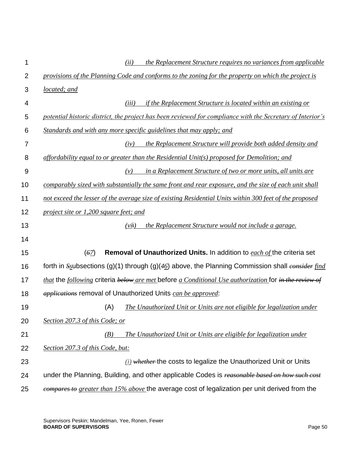| 1              | the Replacement Structure requires no variances from applicable<br>(ii)                                                           |
|----------------|-----------------------------------------------------------------------------------------------------------------------------------|
| $\overline{2}$ | provisions of the Planning Code and conforms to the zoning for the property on which the project is                               |
| 3              | located; and                                                                                                                      |
| 4              | if the Replacement Structure is located within an existing or<br>(iii)                                                            |
| 5              | potential historic district, the project has been reviewed for compliance with the Secretary of Interior's                        |
| 6              | Standards and with any more specific guidelines that may apply; and                                                               |
| 7              | the Replacement Structure will provide both added density and<br>(iv)                                                             |
| 8              | affordability equal to or greater than the Residential Unit(s) proposed for Demolition; and                                       |
| 9              | in a Replacement Structure of two or more units, all units are<br>(v)                                                             |
| 10             | comparably sized with substantially the same front and rear exposure, and the size of each unit shall                             |
| 11             | not exceed the lesser of the average size of existing Residential Units within 300 feet of the proposed                           |
| 12             | project site or 1,200 square feet; and                                                                                            |
| 13             | (vii)<br>the Replacement Structure would not include a garage.                                                                    |
| 14             |                                                                                                                                   |
| 15             | (62)<br>Removal of Unauthorized Units. In addition to each of the criteria set                                                    |
| 16             | forth in $S_{\text{S}}$ ubsections (g)(1) through (g)(46) above, the Planning Commission shall consider find                      |
| 17             | <i>that</i> the <i>following</i> criteria <i>below are met</i> before $\alpha$ Conditional Use authorization for in the review of |
| 18             | <i>applications</i> removal of Unauthorized Units can be approved:                                                                |
| 19             | (A)<br>The Unauthorized Unit or Units are not eligible for legalization under                                                     |
| 20             | Section 207.3 of this Code; or                                                                                                    |
| 21             | The Unauthorized Unit or Units are eligible for legalization under<br>(B)                                                         |
| 22             | Section 207.3 of this Code, but:                                                                                                  |
| 23             | $(i)$ whether the costs to legalize the Unauthorized Unit or Units                                                                |
| 24             | under the Planning, Building, and other applicable Codes is reasonable based on how such cost                                     |
| 25             | compares to greater than 15% above the average cost of legalization per unit derived from the                                     |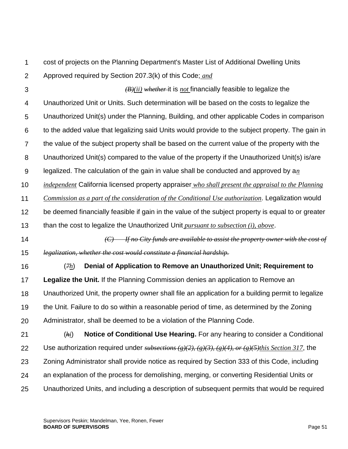1

cost of projects on the Planning Department's Master List of Additional Dwelling Units Approved required by Section 207.3(k) of this Code; *and*

3

 $\mathcal{P}$ 

*(B)(ii) whether* it is *not* financially feasible to legalize the

4 Unauthorized Unit or Units. Such determination will be based on the costs to legalize the

5 Unauthorized Unit(s) under the Planning, Building, and other applicable Codes in comparison

6 to the added value that legalizing said Units would provide to the subject property. The gain in

7 the value of the subject property shall be based on the current value of the property with the

8 Unauthorized Unit(s) compared to the value of the property if the Unauthorized Unit(s) is/are

9 legalized. The calculation of the gain in value shall be conducted and approved by a*n* 

10 *independent* California licensed property appraiser *who shall present the appraisal to the Planning* 

11 *Commission as a part of the consideration of the Conditional Use authorization*. Legalization would

12 13 be deemed financially feasible if gain in the value of the subject property is equal to or greater than the cost to legalize the Unauthorized Unit *pursuant to subsection (i), above*.

14 15 *(C) If no City funds are available to assist the property owner with the cost of legalization, whether the cost would constitute a financial hardship.*

16 17 18 19 20 (*7h*) **Denial of Application to Remove an Unauthorized Unit; Requirement to Legalize the Unit.** If the Planning Commission denies an application to Remove an Unauthorized Unit, the property owner shall file an application for a building permit to legalize the Unit. Failure to do so within a reasonable period of time, as determined by the Zoning Administrator, shall be deemed to be a violation of the Planning Code.

21 22 23 24 25 (*hi*) **Notice of Conditional Use Hearing.** For any hearing to consider a Conditional Use authorization required under *subsections (g)(2), (g)(3), (g)(4), or (g)(5)this Section 317*, the Zoning Administrator shall provide notice as required by Section 333 of this Code, including an explanation of the process for demolishing, merging, or converting Residential Units or Unauthorized Units, and including a description of subsequent permits that would be required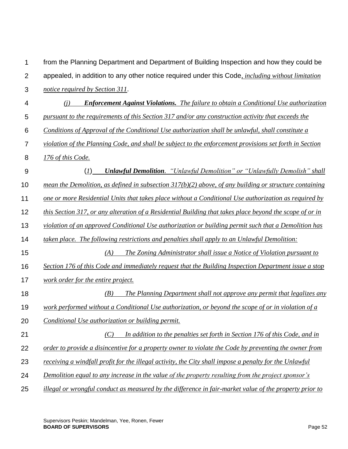| 1              | from the Planning Department and Department of Building Inspection and how they could be                 |
|----------------|----------------------------------------------------------------------------------------------------------|
| $\overline{2}$ | appealed, in addition to any other notice required under this Code, <i>including without limitation</i>  |
| 3              | notice required by Section 311.                                                                          |
| 4              | <b>Enforcement Against Violations.</b> The failure to obtain a Conditional Use authorization<br>(i)      |
| 5              | pursuant to the requirements of this Section 317 and/or any construction activity that exceeds the       |
| 6              | Conditions of Approval of the Conditional Use authorization shall be unlawful, shall constitute a        |
| 7              | violation of the Planning Code, and shall be subject to the enforcement provisions set forth in Section  |
| 8              | 176 of this Code.                                                                                        |
| $9\,$          | <b>Unlawful Demolition.</b> "Unlawful Demolition" or "Unlawfully Demolish" shall<br>$(\underline{I})$    |
| 10             | mean the Demolition, as defined in subsection $317(b)(2)$ above, of any building or structure containing |
| 11             | one or more Residential Units that takes place without a Conditional Use authorization as required by    |
| 12             | this Section 317, or any alteration of a Residential Building that takes place beyond the scope of or in |
| 13             | violation of an approved Conditional Use authorization or building permit such that a Demolition has     |
| 14             | taken place. The following restrictions and penalties shall apply to an Unlawful Demolition:             |
| 15             | The Zoning Administrator shall issue a Notice of Violation pursuant to<br>(A)                            |
| 16             | Section 176 of this Code and immediately request that the Building Inspection Department issue a stop    |
| 17             | work order for the entire project.                                                                       |
| 18             | The Planning Department shall not approve any permit that legalizes any<br>(B)                           |
| 19             | work performed without a Conditional Use authorization, or beyond the scope of or in violation of a      |
| 20             | Conditional Use authorization or building permit.                                                        |
| 21             | In addition to the penalties set forth in Section 176 of this Code, and in<br>(C)                        |
| 22             | order to provide a disincentive for a property owner to violate the Code by preventing the owner from    |
| 23             | receiving a windfall profit for the illegal activity, the City shall impose a penalty for the Unlawful   |
| 24             | Demolition equal to any increase in the value of the property resulting from the project sponsor's       |
| 25             | illegal or wrongful conduct as measured by the difference in fair-market value of the property prior to  |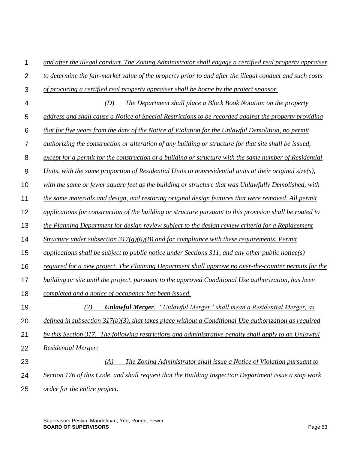| 1                | and after the illegal conduct. The Zoning Administrator shall engage a certified real property appraiser      |
|------------------|---------------------------------------------------------------------------------------------------------------|
| $\overline{2}$   | to determine the fair-market value of the property prior to and after the illegal conduct and such costs      |
| 3                | of procuring a certified real property appraiser shall be borne by the project sponsor.                       |
| 4                | The Department shall place a Block Book Notation on the property<br>(D)                                       |
| 5                | address and shall cause a Notice of Special Restrictions to be recorded against the property providing        |
| 6                | that for five years from the date of the Notice of Violation for the Unlawful Demolition, no permit           |
| $\overline{7}$   | <i>authorizing the construction or alteration of any building or structure for that site shall be issued,</i> |
| 8                | except for a permit for the construction of a building or structure with the same number of Residential       |
| $\boldsymbol{9}$ | Units, with the same proportion of Residential Units to nonresidential units at their original size(s),       |
| 10               | with the same or fewer square feet as the building or structure that was Unlawfully Demolished, with          |
| 11               | the same materials and design, and restoring original design features that were removed. All permit           |
| 12               | applications for construction of the building or structure pursuant to this provision shall be routed to      |
| 13               | the Planning Department for design review subject to the design review criteria for a Replacement             |
| 14               | Structure under subsection $317(g)(6)(B)$ and for compliance with these requirements. Permit                  |
| 15               | applications shall be subject to public notice under Sections 311, and any other public notice(s)             |
| 16               | required for a new project. The Planning Department shall approve no over-the-counter permits for the         |
| 17               | building or site until the project, pursuant to the approved Conditional Use authorization, has been          |
| 18               | completed and a notice of occupancy has been issued.                                                          |
| 19               | <b>Unlawful Merger.</b> "Unlawful Merger" shall mean a Residential Merger, as<br>(2)                          |
| 20               | defined in subsection $317(b)(3)$ , that takes place without a Conditional Use authorization as required      |
| 21               | by this Section 317. The following restrictions and administrative penalty shall apply to an Unlawful         |
| 22               | <b>Residential Merger:</b>                                                                                    |
| 23               | The Zoning Administrator shall issue a Notice of Violation pursuant to<br>(A)                                 |
| 24               | Section 176 of this Code, and shall request that the Building Inspection Department issue a stop work         |
| 25               | order for the entire project.                                                                                 |

Supervisors Peskin; Mandelman, Yee, Ronen, Fewer **BOARD OF SUPERVISORS** Page 53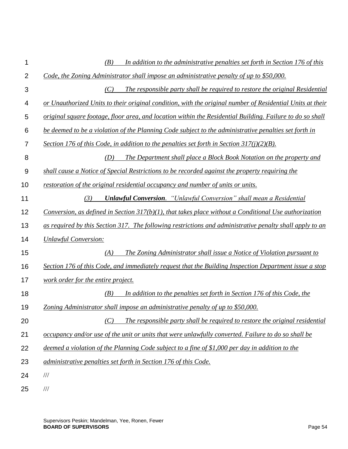| 1              | In addition to the administrative penalties set forth in Section 176 of this<br>(B)                       |
|----------------|-----------------------------------------------------------------------------------------------------------|
| $\overline{2}$ | Code, the Zoning Administrator shall impose an administrative penalty of up to \$50,000.                  |
| 3              | The responsible party shall be required to restore the original Residential<br>(C)                        |
| 4              | or Unauthorized Units to their original condition, with the original number of Residential Units at their |
| 5              | original square footage, floor area, and location within the Residential Building. Failure to do so shall |
| 6              | be deemed to be a violation of the Planning Code subject to the administrative penalties set forth in     |
| $\overline{7}$ | Section 176 of this Code, in addition to the penalties set forth in Section 317(j)(2)(B).                 |
| 8              | The Department shall place a Block Book Notation on the property and<br>(D)                               |
| 9              | shall cause a Notice of Special Restrictions to be recorded against the property requiring the            |
| 10             | restoration of the original residential occupancy and number of units or units.                           |
| 11             | <b>Unlawful Conversion.</b> "Unlawful Conversion" shall mean a Residential<br>(3)                         |
| 12             | Conversion, as defined in Section $317(b)(1)$ , that takes place without a Conditional Use authorization  |
| 13             | as required by this Section 317. The following restrictions and administrative penalty shall apply to an  |
| 14             | <b>Unlawful Conversion:</b>                                                                               |
| 15             | The Zoning Administrator shall issue a Notice of Violation pursuant to<br>(A)                             |
| 16             | Section 176 of this Code, and immediately request that the Building Inspection Department issue a stop    |
| 17             | work order for the entire project.                                                                        |
| 18             | In addition to the penalties set forth in Section 176 of this Code, the<br>(B)                            |
| 19             | Zoning Administrator shall impose an administrative penalty of up to \$50,000.                            |
| 20             | The responsible party shall be required to restore the original residential<br>(C)                        |
| 21             | occupancy and/or use of the unit or units that were unlawfully converted. Failure to do so shall be       |
| 22             | deemed a violation of the Planning Code subject to a fine of \$1,000 per day in addition to the           |
| 23             | administrative penalties set forth in Section 176 of this Code.                                           |
| 24             | $\frac{1}{1}$                                                                                             |
| 25             | $/\!/ \!/$                                                                                                |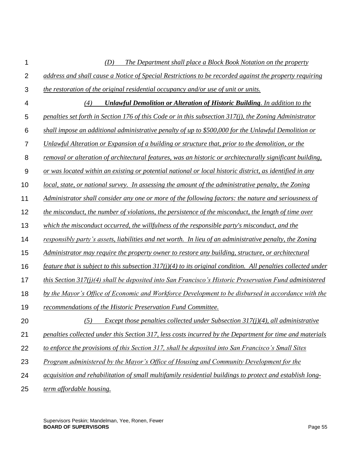| 1              | (D)<br>The Department shall place a Block Book Notation on the property                                         |
|----------------|-----------------------------------------------------------------------------------------------------------------|
| $\overline{2}$ | address and shall cause a Notice of Special Restrictions to be recorded against the property requiring          |
| 3              | the restoration of the original residential occupancy and/or use of unit or units.                              |
| 4              | <b>Unlawful Demolition or Alteration of Historic Building.</b> In addition to the<br>(4)                        |
| 5              | penalties set forth in Section 176 of this Code or in this subsection $317(i)$ , the Zoning Administrator       |
| 6              | shall impose an additional administrative penalty of up to \$500,000 for the Unlawful Demolition or             |
| $\overline{7}$ | Unlawful Alteration or Expansion of a building or structure that, prior to the demolition, or the               |
| 8              | removal or alteration of architectural features, was an historic or architecturally significant building,       |
| 9              | or was located within an existing or potential national or local historic district, as identified in any        |
| 10             | local, state, or national survey. In assessing the amount of the administrative penalty, the Zoning             |
| 11             | Administrator shall consider any one or more of the following factors: the nature and seriousness of            |
| 12             | the misconduct, the number of violations, the persistence of the misconduct, the length of time over            |
| 13             | which the misconduct occurred, the willfulness of the responsible party's misconduct, and the                   |
| 14             | responsibly party's assets, liabilities and net worth. In lieu of an administrative penalty, the Zoning         |
| 15             | Administrator may require the property owner to restore any building, structure, or architectural               |
| 16             | feature that is subject to this subsection $317(j)(4)$ to its original condition. All penalties collected under |
| 17             | this Section $317(j)(4)$ shall be deposited into San Francisco's Historic Preservation Fund administered        |
| 18             | by the Mayor's Office of Economic and Workforce Development to be disbursed in accordance with the              |
| 19             | recommendations of the Historic Preservation Fund Committee.                                                    |
| 20             | Except those penalties collected under Subsection $317(j)(4)$ , all administrative<br>(5)                       |
| 21             | penalties collected under this Section 317, less costs incurred by the Department for time and materials        |
| 22             | to enforce the provisions of this Section 317, shall be deposited into San Francisco's Small Sites              |
| 23             | Program administered by the Mayor's Office of Housing and Community Development for the                         |
| 24             | acquisition and rehabilitation of small multifamily residential buildings to protect and establish long-        |
| 25             | term affordable housing.                                                                                        |

Supervisors Peskin; Mandelman, Yee, Ronen, Fewer **BOARD OF SUPERVISORS** Page 55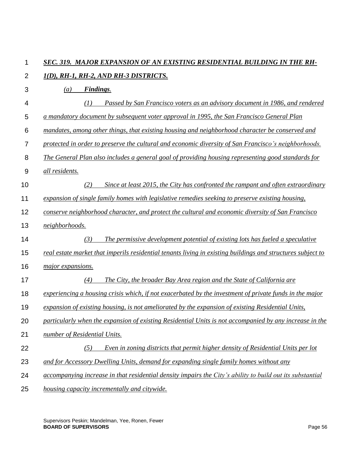### 1 *SEC. 319. MAJOR EXPANSION OF AN EXISTING RESIDENTIAL BUILDING IN THE RH-*

- $\mathcal{P}$ *1(D), RH-1, RH-2, AND RH-3 DISTRICTS.*
- 3 4 5 6 7 8 9 10 11 12 13 14 15 16 17 18 19 20 21 22 23 24 25 *(a) Findings. (1) Passed by San Francisco voters as an advisory document in 1986, and rendered a mandatory document by subsequent voter approval in 1995, the San Francisco General Plan mandates, among other things, that existing housing and neighborhood character be conserved and protected in order to preserve the cultural and economic diversity of San Francisco's neighborhoods. The General Plan also includes a general goal of providing housing representing good standards for all residents. (2) Since at least 2015, the City has confronted the rampant and often extraordinary expansion of single family homes with legislative remedies seeking to preserve existing housing, conserve neighborhood character, and protect the cultural and economic diversity of San Francisco neighborhoods. (3) The permissive development potential of existing lots has fueled a speculative real estate market that imperils residential tenants living in existing buildings and structures subject to major expansions. (4) The City, the broader Bay Area region and the State of California are experiencing a housing crisis which, if not exacerbated by the investment of private funds in the major expansion of existing housing, is not ameliorated by the expansion of existing Residential Units, particularly when the expansion of existing Residential Units is not accompanied by any increase in the number of Residential Units. (5) Even in zoning districts that permit higher density of Residential Units per lot and for Accessory Dwelling Units, demand for expanding single family homes without any accompanying increase in that residential density impairs the City's ability to build out its substantial housing capacity incrementally and citywide.*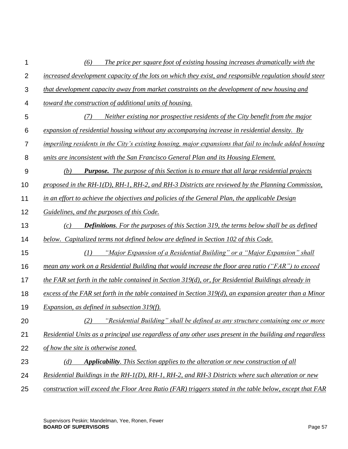| 1               | The price per square foot of existing housing increases dramatically with the<br>(6)                       |
|-----------------|------------------------------------------------------------------------------------------------------------|
| $\overline{2}$  | increased development capacity of the lots on which they exist, and responsible regulation should steer    |
| $\mathfrak{S}$  | that development capacity away from market constraints on the development of new housing and               |
| 4               | toward the construction of additional units of housing.                                                    |
| 5               | (7)<br>Neither existing nor prospective residents of the City benefit from the major                       |
| $6\phantom{1}6$ | expansion of residential housing without any accompanying increase in residential density. By              |
| $\overline{7}$  | imperiling residents in the City's existing housing, major expansions that fail to include added housing   |
| 8               | units are inconsistent with the San Francisco General Plan and its Housing Element.                        |
| $\overline{9}$  | <b>Purpose.</b> The purpose of this Section is to ensure that all large residential projects<br>(b)        |
| 10              | proposed in the RH- $I(D)$ , RH-1, RH-2, and RH-3 Districts are reviewed by the Planning Commission,       |
| 11              | in an effort to achieve the objectives and policies of the General Plan, the applicable Design             |
| 12              | Guidelines, and the purposes of this Code.                                                                 |
| 13              | <b>Definitions.</b> For the purposes of this Section 319, the terms below shall be as defined<br>(c)       |
| 14              | below. Capitalized terms not defined below are defined in Section 102 of this Code.                        |
| 15              | "Major Expansion of a Residential Building" or a "Major Expansion" shall<br>(1)                            |
| 16              | mean any work on a Residential Building that would increase the floor area ratio ("FAR") to exceed         |
| 17              | the FAR set forth in the table contained in Section $319(d)$ , or, for Residential Buildings already in    |
| 18              | excess of the FAR set forth in the table contained in Section $319(d)$ , an expansion greater than a Minor |
| 19              | <i>Expansion, as defined in subsection 319(f).</i>                                                         |
| 20              | "Residential Building" shall be defined as any structure containing one or more<br>(2)                     |
| 21              | Residential Units as a principal use regardless of any other uses present in the building and regardless   |
| 22              | of how the site is otherwise zoned.                                                                        |
| 23              | <b>Applicability.</b> This Section applies to the alteration or new construction of all<br>(d)             |
| 24              | Residential Buildings in the RH-1(D), RH-1, RH-2, and RH-3 Districts where such alteration or new          |
| 25              | construction will exceed the Floor Area Ratio (FAR) triggers stated in the table below, except that FAR    |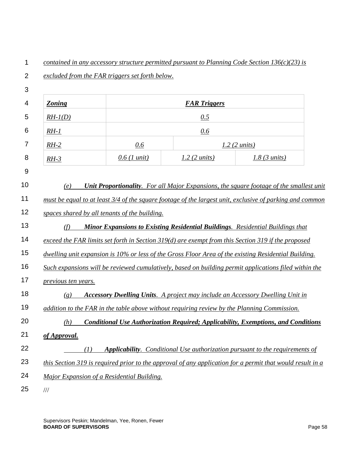$\mathcal{P}$ 3 4 5 6 7 8 9 10 11 12 13 14 15 16 17 18 19 20 21 22 23 24 25 *excluded from the FAR triggers set forth below. Zoning FAR Triggers RH-1(D) 0.5 RH-1 0.6 RH-2 0.6 1.2 (2 units) RH-3 0.6 (1 unit) 1.2 (2 units) 1.8 (3 units) (e) Unit Proportionality. For all Major Expansions, the square footage of the smallest unit must be equal to at least 3/4 of the square footage of the largest unit, exclusive of parking and common spaces shared by all tenants of the building. (f) Minor Expansions to Existing Residential Buildings. Residential Buildings that exceed the FAR limits set forth in Section 319(d) are exempt from this Section 319 if the proposed dwelling unit expansion is 10% or less of the Gross Floor Area of the existing Residential Building. Such expansions will be reviewed cumulatively, based on building permit applications filed within the previous ten years. (g) Accessory Dwelling Units. A project may include an Accessory Dwelling Unit in addition to the FAR in the table above without requiring review by the Planning Commission. (h) Conditional Use Authorization Required; Applicability, Exemptions, and Conditions of Approval. (1) Applicability. Conditional Use authorization pursuant to the requirements of this Section 319 is required prior to the approval of any application for a permit that would result in a Major Expansion of a Residential Building.* ///

*contained in any accessory structure permitted pursuant to Planning Code Section 136(c)(23) is* 

1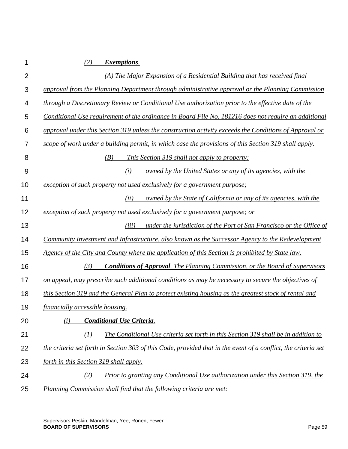| 1              | (2)<br><i>Exemptions.</i>                                                                                      |
|----------------|----------------------------------------------------------------------------------------------------------------|
| $\overline{2}$ | (A) The Major Expansion of a Residential Building that has received final                                      |
| 3              | approval from the Planning Department through administrative approval or the Planning Commission               |
| 4              | through a Discretionary Review or Conditional Use authorization prior to the effective date of the             |
| 5              | Conditional Use requirement of the ordinance in Board File No. 181216 does not require an additional           |
| 6              | approval under this Section 319 unless the construction activity exceeds the Conditions of Approval or         |
| $\overline{7}$ | scope of work under a building permit, in which case the provisions of this Section 319 shall apply.           |
| 8              | (B)<br><i>This Section 319 shall not apply to property:</i>                                                    |
| 9              | owned by the United States or any of its agencies, with the<br>(i)                                             |
| 10             | exception of such property not used exclusively for a government purpose;                                      |
| 11             | owned by the State of California or any of its agencies, with the<br>(ii)                                      |
| 12             | exception of such property not used exclusively for a government purpose; or                                   |
| 13             | under the jurisdiction of the Port of San Francisco or the Office of<br>(iii)                                  |
| 14             | Community Investment and Infrastructure, also known as the Successor Agency to the Redevelopment               |
| 15             | Agency of the City and County where the application of this Section is prohibited by State law.                |
| 16             | <b>Conditions of Approval.</b> The Planning Commission, or the Board of Supervisors<br>(3)                     |
| 17             | on appeal, may prescribe such additional conditions as may be necessary to secure the objectives of            |
| 18             | this Section 319 and the General Plan to protect existing housing as the greatest stock of rental and          |
| 19             | financially accessible housing.                                                                                |
| 20             | <b>Conditional Use Criteria.</b><br>(i)                                                                        |
| 21             | (I)<br>The Conditional Use criteria set forth in this Section 319 shall be in addition to                      |
| 22             | the criteria set forth in Section 303 of this Code, provided that in the event of a conflict, the criteria set |
| 23             | forth in this Section 319 shall apply.                                                                         |
| 24             | Prior to granting any Conditional Use authorization under this Section 319, the<br>(2)                         |
| 25             | Planning Commission shall find that the following criteria are met:                                            |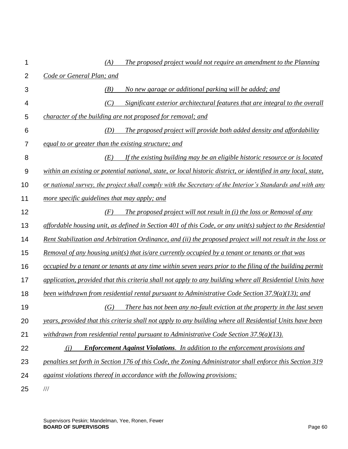| 1              | The proposed project would not require an amendment to the Planning<br>(A)                                      |
|----------------|-----------------------------------------------------------------------------------------------------------------|
| $\overline{2}$ | Code or General Plan; and                                                                                       |
| 3              | No new garage or additional parking will be added; and<br>(B)                                                   |
| 4              | (C)<br>Significant exterior architectural features that are integral to the overall                             |
| 5              | character of the building are not proposed for removal; and                                                     |
| 6              | The proposed project will provide both added density and affordability<br>(D)                                   |
| 7              | equal to or greater than the existing structure; and                                                            |
| 8              | If the existing building may be an eligible historic resource or is located<br>(E)                              |
| $9\,$          | within an existing or potential national, state, or local historic district, or identified in any local, state, |
| 10             | or national survey, the project shall comply with the Secretary of the Interior's Standards and with any        |
| 11             | more specific guidelines that may apply; and                                                                    |
| 12             | (F)<br>The proposed project will not result in (i) the loss or Removal of any                                   |
| 13             | affordable housing unit, as defined in Section 401 of this Code, or any unit(s) subject to the Residential      |
| 14             | Rent Stabilization and Arbitration Ordinance, and (ii) the proposed project will not result in the loss or      |
| 15             | Removal of any housing unit(s) that is/are currently occupied by a tenant or tenants or that was                |
| 16             | occupied by a tenant or tenants at any time within seven years prior to the filing of the building permit       |
| 17             | application, provided that this criteria shall not apply to any building where all Residential Units have       |
| 18             | been withdrawn from residential rental pursuant to Administrative Code Section $37.9(a)(13)$ ; and              |
| 19             | There has not been any no-fault eviction at the property in the last seven<br>(G)                               |
| 20             | years, provided that this criteria shall not apply to any building where all Residential Units have been        |
| 21             | withdrawn from residential rental pursuant to Administrative Code Section $37.9(a)(13)$ .                       |
| 22             | <b>Enforcement Against Violations.</b> In addition to the enforcement provisions and<br>(i)                     |
| 23             | penalties set forth in Section 176 of this Code, the Zoning Administrator shall enforce this Section 319        |
| 24             | against violations thereof in accordance with the following provisions:                                         |
| 25             | $/\!/ \!/$                                                                                                      |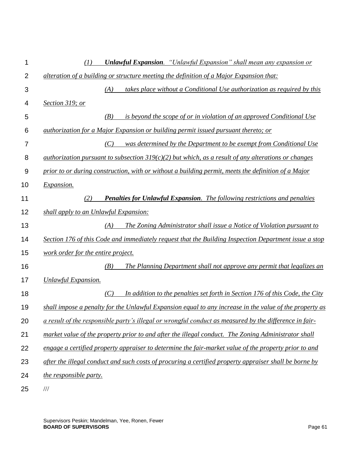| 1              | <b>Unlawful Expansion.</b> "Unlawful Expansion" shall mean any expansion or<br>(1)                         |
|----------------|------------------------------------------------------------------------------------------------------------|
| $\overline{2}$ | alteration of a building or structure meeting the definition of a Major Expansion that:                    |
| 3              | (A)<br>takes place without a Conditional Use authorization as required by this                             |
| 4              | Section 319; or                                                                                            |
| 5              | is beyond the scope of or in violation of an approved Conditional Use<br>(B)                               |
| 6              | <i>authorization for a Major Expansion or building permit issued pursuant thereto; or</i>                  |
| 7              | was determined by the Department to be exempt from Conditional Use<br>(C)                                  |
| 8              | <u>authorization pursuant to subsection 319(c)(2) but which, as a result of any alterations or changes</u> |
| 9              | prior to or during construction, with or without a building permit, meets the definition of a Major        |
| 10             | Expansion.                                                                                                 |
| 11             | <b>Penalties for Unlawful Expansion.</b> The following restrictions and penalties<br>(2)                   |
| 12             | shall apply to an Unlawful Expansion:                                                                      |
| 13             | The Zoning Administrator shall issue a Notice of Violation pursuant to<br>(A)                              |
| 14             | Section 176 of this Code and immediately request that the Building Inspection Department issue a stop      |
| 15             | work order for the entire project.                                                                         |
| 16             | The Planning Department shall not approve any permit that legalizes an<br>(B)                              |
| 17             | <b>Unlawful Expansion.</b>                                                                                 |
| 18             | In addition to the penalties set forth in Section 176 of this Code, the City<br>(C)                        |
| 19             | shall impose a penalty for the Unlawful Expansion equal to any increase in the value of the property as    |
| 20             | a result of the responsible party's illegal or wrongful conduct as measured by the difference in fair-     |
| 21             | market value of the property prior to and after the illegal conduct. The Zoning Administrator shall        |
| 22             | engage a certified property appraiser to determine the fair-market value of the property prior to and      |
| 23             | after the illegal conduct and such costs of procuring a certified property appraiser shall be borne by     |
| 24             | the responsible party.                                                                                     |
| 25             | $/\!/ \!/$                                                                                                 |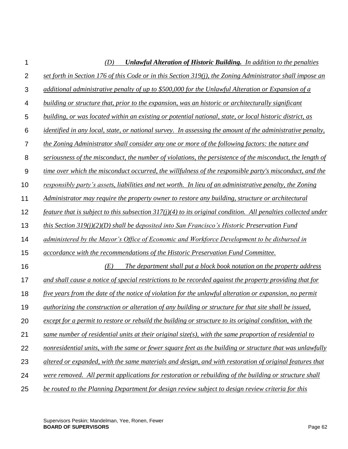| 1              | <b>Unlawful Alteration of Historic Building.</b> In addition to the penalties<br>(D)                              |
|----------------|-------------------------------------------------------------------------------------------------------------------|
| $\overline{2}$ | set forth in Section 176 of this Code or in this Section 319(j), the Zoning Administrator shall impose an         |
| 3              | additional administrative penalty of up to \$500,000 for the Unlawful Alteration or Expansion of a                |
| 4              | building or structure that, prior to the expansion, was an historic or architecturally significant                |
| 5              | building, or was located within an existing or potential national, state, or local historic district, as          |
| 6              | <i>identified in any local, state, or national survey. In assessing the amount of the administrative penalty,</i> |
| $\overline{7}$ | the Zoning Administrator shall consider any one or more of the following factors: the nature and                  |
| 8              | seriousness of the misconduct, the number of violations, the persistence of the misconduct, the length of         |
| 9              | time over which the misconduct occurred, the willfulness of the responsible party's misconduct, and the           |
| 10             | responsibly party's assets, liabilities and net worth. In lieu of an administrative penalty, the Zoning           |
| 11             | Administrator may require the property owner to restore any building, structure or architectural                  |
| 12             | feature that is subject to this subsection $317(j)(4)$ to its original condition. All penalties collected under   |
| 13             | this Section $319(j)(2)(D)$ shall be deposited into San Francisco's Historic Preservation Fund                    |
| 14             | administered by the Mayor's Office of Economic and Workforce Development to be disbursed in                       |
| 15             | accordance with the recommendations of the Historic Preservation Fund Committee.                                  |
| 16             | (E)<br>The department shall put a block book notation on the property address                                     |
| 17             | and shall cause a notice of special restrictions to be recorded against the property providing that for           |
| 18             | five years from the date of the notice of violation for the unlawful alteration or expansion, no permit           |
| 19             | authorizing the construction or alteration of any building or structure for that site shall be issued,            |
| 20             | except for a permit to restore or rebuild the building or structure to its original condition, with the           |
| 21             | same number of residential units at their original size(s), with the same proportion of residential to            |
| 22             | nonresidential units, with the same or fewer square feet as the building or structure that was unlawfully         |
| 23             | altered or expanded, with the same materials and design, and with restoration of original features that           |
| 24             | were removed. All permit applications for restoration or rebuilding of the building or structure shall            |
| 25             | be routed to the Planning Department for design review subject to design review criteria for this                 |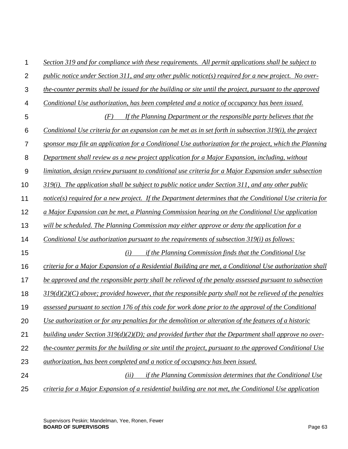| 1               | Section 319 and for compliance with these requirements. All permit applications shall be subject to        |
|-----------------|------------------------------------------------------------------------------------------------------------|
| $\overline{2}$  | public notice under Section 311, and any other public notice(s) required for a new project. No over-       |
| 3               | the-counter permits shall be issued for the building or site until the project, pursuant to the approved   |
| 4               | Conditional Use authorization, has been completed and a notice of occupancy has been issued.               |
| 5               | (F)<br>If the Planning Department or the responsible party believes that the                               |
| $6\phantom{1}6$ | Conditional Use criteria for an expansion can be met as in set forth in subsection $319(i)$ , the project  |
| 7               | sponsor may file an application for a Conditional Use authorization for the project, which the Planning    |
| 8               | Department shall review as a new project application for a Major Expansion, including, without             |
| $\overline{9}$  | limitation, design review pursuant to conditional use criteria for a Major Expansion under subsection      |
| 10              | $319(i)$ . The application shall be subject to public notice under Section 311, and any other public       |
| 11              | $notice(s)$ required for a new project. If the Department determines that the Conditional Use criteria for |
| 12              | a Major Expansion can be met, a Planning Commission hearing on the Conditional Use application             |
| 13              | will be scheduled. The Planning Commission may either approve or deny the application for a                |
| 14              | Conditional Use authorization pursuant to the requirements of subsection 319(i) as follows:                |
| 15              | if the Planning Commission finds that the Conditional Use<br>(i)                                           |
| 16              | criteria for a Major Expansion of a Residential Building are met, a Conditional Use authorization shall    |
| 17              | be approved and the responsible party shall be relieved of the penalty assessed pursuant to subsection     |
| 18              | $319(d)(2)(C)$ above; provided however, that the responsible party shall not be relieved of the penalties  |
| 19              | assessed pursuant to section 176 of this code for work done prior to the approval of the Conditional       |
| 20              | Use authorization or for any penalties for the demolition or alteration of the features of a historic      |
| 21              | building under Section $319(d)(2)(D)$ ; and provided further that the Department shall approve no over-    |
| 22              | the-counter permits for the building or site until the project, pursuant to the approved Conditional Use   |
| 23              | <i>authorization, has been completed and a notice of occupancy has been issued.</i>                        |
| 24              | if the Planning Commission determines that the Conditional Use<br>(ii)                                     |
| 25              | criteria for a Major Expansion of a residential building are not met, the Conditional Use application      |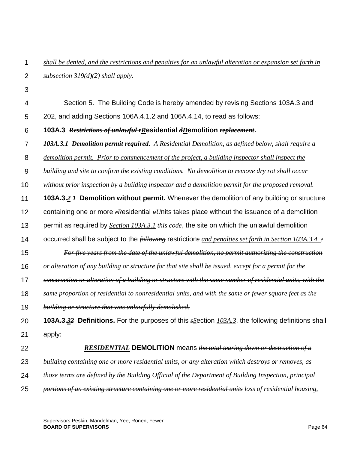| $\overline{2}$ | subsection $319(d)(2)$ shall apply.                                                                                |
|----------------|--------------------------------------------------------------------------------------------------------------------|
| 3              |                                                                                                                    |
| 4              | Section 5. The Building Code is hereby amended by revising Sections 103A.3 and                                     |
| 5              | 202, and adding Sections 106A.4.1.2 and 106A.4.14, to read as follows:                                             |
| $6\,$          | 103A.3 Restrictions of unlawful rResidential dDemolition replacement.                                              |
| $\overline{7}$ | 103A.3.1 Demolition permit required. A Residential Demolition, as defined below, shall require a                   |
| 8              | demolition permit. Prior to commencement of the project, a building inspector shall inspect the                    |
| $9\,$          | building and site to confirm the existing conditions. No demolition to remove dry rot shall occur                  |
| 10             | without prior inspection by a building inspector and a demolition permit for the proposed removal.                 |
| 11             | <b>103A.3.2 <i>I</i></b> Demolition without permit. Whenever the demolition of any building or structure           |
| 12             | containing one or more $r$ Residential $*U$ nits takes place without the issuance of a demolition                  |
| 13             | permit as required by <i>Section 103A.3.1-this code</i> , the site on which the unlawful demolition                |
| 14             | occurred shall be subject to the <i>following</i> restrictions and penalties set forth in Section 103A.3.4. $\div$ |
| 15             | For five years from the date of the unlawful demolition, no permit authorizing the construction                    |
| 16             | or alteration of any building or structure for that site shall be issued, except for a permit for the              |
| 17             | construction or alteration of a building or structure with the same number of residential units, with the          |
| 18             | same proportion of residential to nonresidential units, and with the same or fewer square feet as the              |
| 19             | building or structure that was unlawfully demolished.                                                              |
| 20             | <b>103A.3.32 Definitions.</b> For the purposes of this $s$ Section $103A.3$ , the following definitions shall      |
| 21             | apply:                                                                                                             |
| 22             | <b>RESIDENTIAL DEMOLITION</b> means the total tearing down or destruction of a                                     |
| 23             | building containing one or more residential units, or any alteration which destroys or removes, as                 |
| 24             | those terms are defined by the Building Official of the Department of Building Inspection, principal               |
| 25             | portions of an existing structure containing one or more residential units loss of residential housing,            |

*shall be denied, and the restrictions and penalties for an unlawful alteration or expansion set forth in* 

1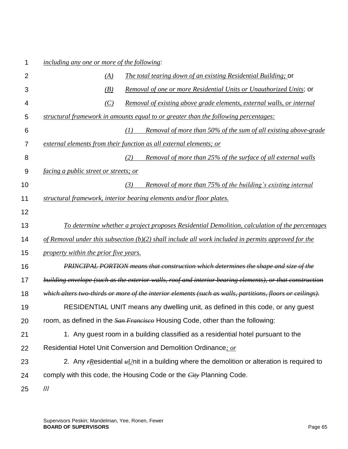### 1 *including any one or more of the following*:

| $\overline{2}$   | (A)                                          | <b>The total tearing down of an existing Residential Building; Or</b>                                     |
|------------------|----------------------------------------------|-----------------------------------------------------------------------------------------------------------|
| 3                | (B)                                          | Removal of one or more Residential Units or Unauthorized Units; or                                        |
| 4                | (C)                                          | <u>Removal of existing above grade elements, external walls, or internal</u>                              |
| 5                |                                              | structural framework in amounts equal to or greater than the following percentages:                       |
| 6                |                                              | (1)<br>Removal of more than 50% of the sum of all existing above-grade                                    |
| 7                |                                              | external elements from their function as all external elements; or                                        |
| 8                |                                              | (2)<br><u>Removal of more than 25% of the surface of all external walls</u>                               |
| $\boldsymbol{9}$ | <i>facing a public street or streets; or</i> |                                                                                                           |
| 10               |                                              | (3)<br>Removal of more than 75% of the building's existing internal                                       |
| 11               |                                              | structural framework, interior bearing elements and/or floor plates.                                      |
| 12               |                                              |                                                                                                           |
| 13               |                                              | <u>To determine whether a project proposes Residential Demolition, calculation of the percentages</u>     |
| 14               |                                              | of Removal under this subsection $(b)(2)$ shall include all work included in permits approved for the     |
| 15               | property within the prior five years.        |                                                                                                           |
| 16               |                                              | <b>PRINCIPAL PORTION</b> means that construction which determines the shape and size of the               |
| 17               |                                              | building envelope (such as the exterior walls, roof and interior bearing elements), or that construction  |
| 18               |                                              | which alters two-thirds or more of the interior elements (such as walls, partitions, floors or ceilings). |
| 19               |                                              | RESIDENTIAL UNIT means any dwelling unit, as defined in this code, or any guest                           |
| 20               |                                              | room, as defined in the San Francisco Housing Code, other than the following:                             |
| 21               |                                              | 1. Any guest room in a building classified as a residential hotel pursuant to the                         |
| 22               |                                              | Residential Hotel Unit Conversion and Demolition Ordinance; or                                            |
| 23               |                                              | 2. Any $r$ Residential $*U$ nit in a building where the demolition or alteration is required to           |
| 24               |                                              | comply with this code, the Housing Code or the <i>City</i> Planning Code.                                 |
| 25               | $\frac{1}{1}$                                |                                                                                                           |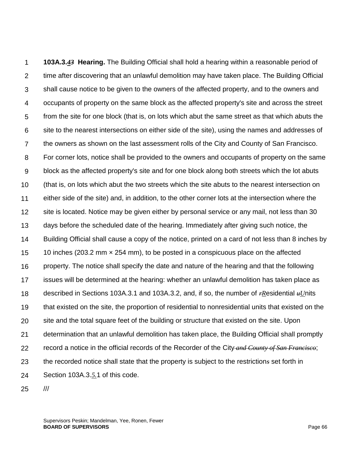1  $\mathcal{P}$ 3 4 5 6 7 8 9 10 11 12 13 14 15 16 17 18 19 20 21 22 23 24 **103A.3.***43* **Hearing.** The Building Official shall hold a hearing within a reasonable period of time after discovering that an unlawful demolition may have taken place. The Building Official shall cause notice to be given to the owners of the affected property, and to the owners and occupants of property on the same block as the affected property's site and across the street from the site for one block (that is, on lots which abut the same street as that which abuts the site to the nearest intersections on either side of the site), using the names and addresses of the owners as shown on the last assessment rolls of the City and County of San Francisco. For corner lots, notice shall be provided to the owners and occupants of property on the same block as the affected property's site and for one block along both streets which the lot abuts (that is, on lots which abut the two streets which the site abuts to the nearest intersection on either side of the site) and, in addition, to the other corner lots at the intersection where the site is located. Notice may be given either by personal service or any mail, not less than 30 days before the scheduled date of the hearing. Immediately after giving such notice, the Building Official shall cause a copy of the notice, printed on a card of not less than 8 inches by 10 inches (203.2 mm × 254 mm), to be posted in a conspicuous place on the affected property. The notice shall specify the date and nature of the hearing and that the following issues will be determined at the hearing: whether an unlawful demolition has taken place as described in Sections 103A.3.1 and 103A.3.2, and, if so, the number of *rR*esidential *uU*nits that existed on the site, the proportion of residential to nonresidential units that existed on the site and the total square feet of the building or structure that existed on the site. Upon determination that an unlawful demolition has taken place, the Building Official shall promptly record a notice in the official records of the Recorder of the City *and County of San Francisco*; the recorded notice shall state that the property is subject to the restriction*s* set forth in Section 103A.3.*5.*1 of this code.

25 ///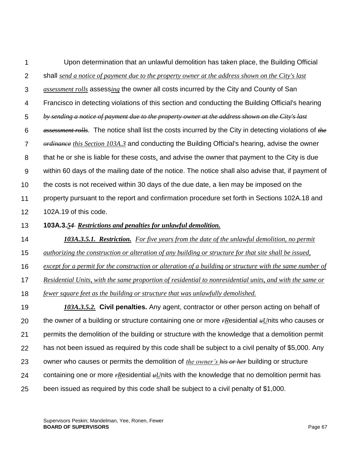1  $\mathcal{P}$ 3 4 5 6 7 8 9 10 11 12 Upon determination that an unlawful demolition has taken place, the Building Official shall *send a notice of payment due to the property owner at the address shown on the City's last assessment rolls* assess*ing* the owner all costs incurred by the City and County of San Francisco in detecting violations of this section and conducting the Building Official's hearing *by sending a notice of payment due to the property owner at the address shown on the City's last assessment rolls*. The notice shall list the costs incurred by the City in detecting violations of *the ordinance this Section 103A.3* and conducting the Building Official's hearing, advise the owner that he or she is liable for these costs*,* and advise the owner that payment to the City is due within 60 days of the mailing date of the notice. The notice shall also advise that, if payment of the costs is not received within 30 days of the due date, a lien may be imposed on the property pursuant to the report and confirmation procedure set forth in Sections 102A.18 and 102A.19 of this code.

13 **103A.3.***54 Restrictions and penalties for unlawful demolition.*

14 *103A.3.5.1. Restriction. For five years from the date of the unlawful demolition, no permit* 

15 *authorizing the construction or alteration of any building or structure for that site shall be issued,* 

16 *except for a permit for the construction or alteration of a building or structure with the same number of*

17 *Residential Units, with the same proportion of residential to nonresidential units, and with the same or* 

18 *fewer square feet as the building or structure that was unlawfully demolished.* 

19 20 21 22 23 24 25 *103A.3.5.2.* **Civil penalties.** Any agent, contractor or other person acting on behalf of the owner of a building or structure containing one or more *rR*esidential *uU*nits who causes or permits the demolition of the building or structure with the knowledge that a demolition permit has not been issued as required by this code shall be subject to a civil penalty of \$5,000. Any owner who causes or permits the demolition of *the owner's his or her* building or structure containing one or more *rResidential <sub>u</sub>Units* with the knowledge that no demolition permit has been issued as required by this code shall be subject to a civil penalty of \$1,000.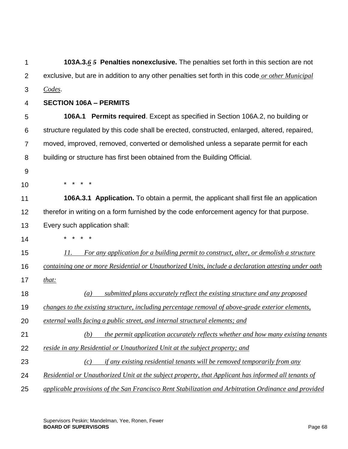| 1              | 103A.3.6 5 Penalties nonexclusive. The penalties set forth in this section are not                   |
|----------------|------------------------------------------------------------------------------------------------------|
| $\overline{2}$ | exclusive, but are in addition to any other penalties set forth in this code or other Municipal      |
| 3              | Codes.                                                                                               |
| 4              | <b>SECTION 106A - PERMITS</b>                                                                        |
| 5              | <b>106A.1 Permits required.</b> Except as specified in Section 106A.2, no building or                |
| 6              | structure regulated by this code shall be erected, constructed, enlarged, altered, repaired,         |
| $\overline{7}$ | moved, improved, removed, converted or demolished unless a separate permit for each                  |
| 8              | building or structure has first been obtained from the Building Official.                            |
| 9              |                                                                                                      |
| 10             |                                                                                                      |
| 11             | <b>106A.3.1 Application.</b> To obtain a permit, the applicant shall first file an application       |
| 12             | therefor in writing on a form furnished by the code enforcement agency for that purpose.             |
| 13             | Every such application shall:                                                                        |
| 14             |                                                                                                      |
| 15             | 11.<br>For any application for a building permit to construct, alter, or demolish a structure        |
| 16             | containing one or more Residential or Unauthorized Units, include a declaration attesting under oath |
| 17             | that:                                                                                                |
| 18             | submitted plans accurately reflect the existing structure and any proposed<br>$\left(a\right)$       |
| 19             | changes to the existing structure, including percentage removal of above-grade exterior elements,    |
| 20             | external walls facing a public street, and internal structural elements; and                         |
| 21             | the permit application accurately reflects whether and how many existing tenants<br>(b)              |
| 22             | reside in any Residential or Unauthorized Unit at the subject property; and                          |
| 23             | <i>if any existing residential tenants will be removed temporarily from any</i><br>(c)               |
| 24             | Residential or Unauthorized Unit at the subject property, that Applicant has informed all tenants of |
| 25             | applicable provisions of the San Francisco Rent Stabilization and Arbitration Ordinance and provided |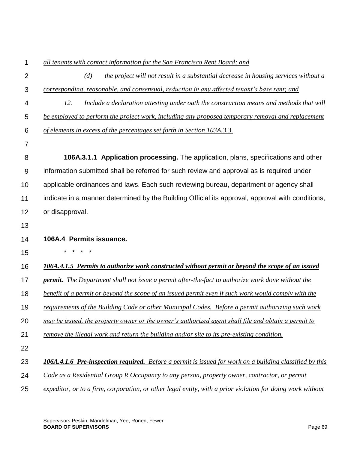| 1              | all tenants with contact information for the San Francisco Rent Board; and                                 |
|----------------|------------------------------------------------------------------------------------------------------------|
| $\overline{2}$ | the project will not result in a substantial decrease in housing services without a<br>(d)                 |
| 3              | corresponding, reasonable, and consensual, reduction in any affected tenant's base rent; and               |
| 4              | Include a declaration attesting under oath the construction means and methods that will<br>12.             |
| 5              | be employed to perform the project work, including any proposed temporary removal and replacement          |
| 6              | of elements in excess of the percentages set forth in Section 103A.3.3.                                    |
| 7              |                                                                                                            |
| 8              | 106A.3.1.1 Application processing. The application, plans, specifications and other                        |
| 9              | information submitted shall be referred for such review and approval as is required under                  |
| 10             | applicable ordinances and laws. Each such reviewing bureau, department or agency shall                     |
| 11             | indicate in a manner determined by the Building Official its approval, approval with conditions,           |
| 12             | or disapproval.                                                                                            |
| 13             |                                                                                                            |
| 14             | 106A.4 Permits issuance.                                                                                   |
| 15             |                                                                                                            |
| 16             | 106A.4.1.5 Permits to authorize work constructed without permit or beyond the scope of an issued           |
| 17             | <b>permit.</b> The Department shall not issue a permit after-the-fact to authorize work done without the   |
| 18             | benefit of a permit or beyond the scope of an issued permit even if such work would comply with the        |
| 19             | requirements of the Building Code or other Municipal Codes. Before a permit authorizing such work          |
| 20             | may be issued, the property owner or the owner's authorized agent shall file and obtain a permit to        |
| 21             | remove the illegal work and return the building and/or site to its pre-existing condition.                 |
| 22             |                                                                                                            |
| 23             | 106A.4.1.6 Pre-inspection required. Before a permit is issued for work on a building classified by this    |
| 24             | Code as a Residential Group R Occupancy to any person, property owner, contractor, or permit               |
| 25             | expeditor, or to a firm, corporation, or other legal entity, with a prior violation for doing work without |